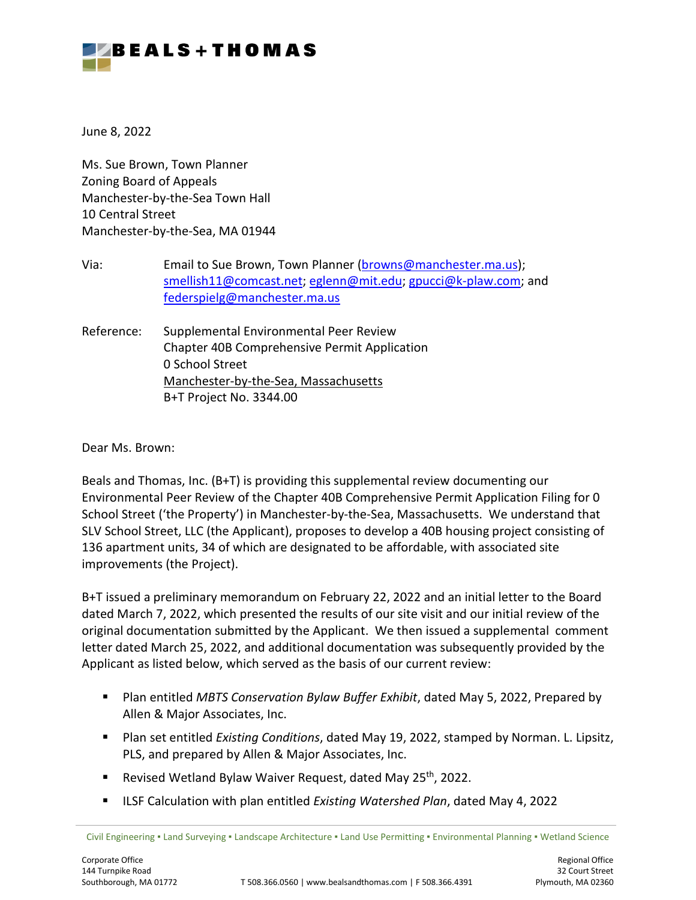

June 8, 2022

Ms. Sue Brown, Town Planner Zoning Board of Appeals Manchester-by-the-Sea Town Hall 10 Central Street Manchester-by-the-Sea, MA 01944

Via: Email to Sue Brown, Town Planner [\(browns@manchester.ma.us](mailto:browns@manchester.ma.us)); [smellish11@comcast.net](mailto:smellish11@comcast.net); [eglenn@mit.edu](mailto:eglenn@mit.edu); gpucci@k-[plaw.com](mailto:gpucci@k-plaw.com); and [federspielg@manchester.ma.us](mailto:federspielg@manchester.ma.us)

Reference: Supplemental Environmental Peer Review Chapter 40B Comprehensive Permit Application 0 School Street Manchester-by-the-Sea, Massachusetts B+T Project No. 3344.00

Dear Ms. Brown:

Beals and Thomas, Inc. (B+T) is providing this supplemental review documenting our Environmental Peer Review of the Chapter 40B Comprehensive Permit Application Filing for 0 School Street ('the Property') in Manchester-by-the-Sea, Massachusetts. We understand that SLV School Street, LLC (the Applicant), proposes to develop a 40B housing project consisting of 136 apartment units, 34 of which are designated to be affordable, with associated site improvements (the Project).

B+T issued a preliminary memorandum on February 22, 2022 and an initial letter to the Board dated March 7, 2022, which presented the results of our site visit and our initial review of the original documentation submitted by the Applicant. We then issued a supplemental comment letter dated March 25, 2022, and additional documentation was subsequently provided by the Applicant as listed below, which served as the basis of our current review:

- **Plan entitled** *MBTS Conservation Bylaw Buffer Exhibit***, dated May 5, 2022, Prepared by** Allen & Major Associates, Inc.
- Plan set entitled *Existing Conditions*, dated May 19, 2022, stamped by Norman. L. Lipsitz, PLS, and prepared by Allen & Major Associates, Inc.
- Revised Wetland Bylaw Waiver Request, dated May 25<sup>th</sup>, 2022.
- ILSF Calculation with plan entitled *Existing Watershed Plan*, dated May 4, 2022

Civil Engineering ▪ Land Surveying ▪ Landscape Architecture ▪ Land Use Permitting ▪ Environmental Planning ▪ Wetland Science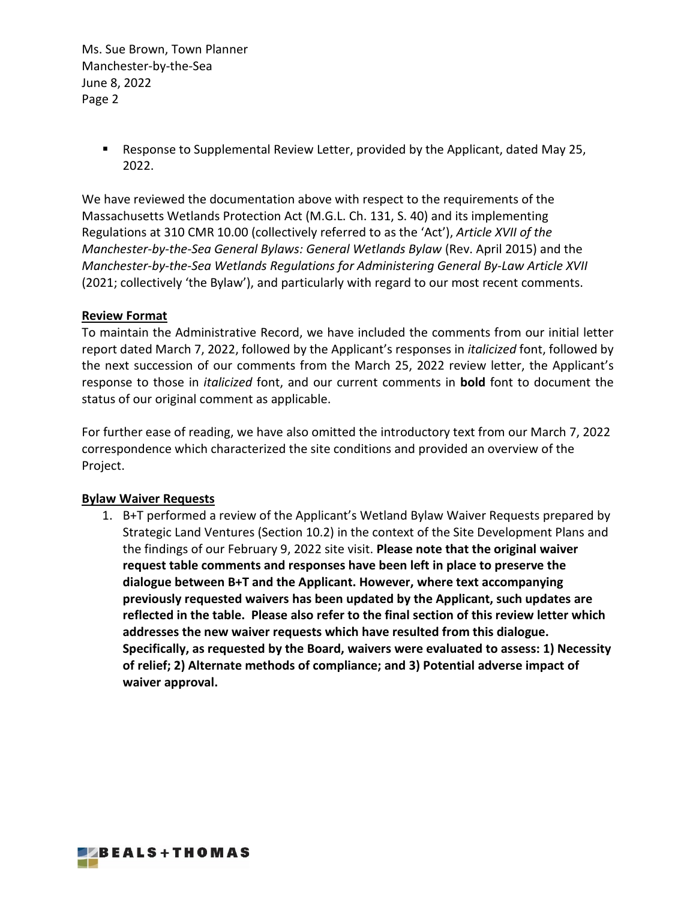> Response to Supplemental Review Letter, provided by the Applicant, dated May 25, 2022.

We have reviewed the documentation above with respect to the requirements of the Massachusetts Wetlands Protection Act (M.G.L. Ch. 131, S. 40) and its implementing Regulations at 310 CMR 10.00 (collectively referred to as the 'Act'), *Article XVII of the Manchester-by-the-Sea General Bylaws: General Wetlands Bylaw* (Rev. April 2015) and the *Manchester-by-the-Sea Wetlands Regulations for Administering General By-Law Article XVII* (2021; collectively 'the Bylaw'), and particularly with regard to our most recent comments.

## **Review Format**

To maintain the Administrative Record, we have included the comments from our initial letter report dated March 7, 2022, followed by the Applicant's responses in *italicized* font, followed by the next succession of our comments from the March 25, 2022 review letter, the Applicant's response to those in *italicized* font, and our current comments in **bold** font to document the status of our original comment as applicable.

For further ease of reading, we have also omitted the introductory text from our March 7, 2022 correspondence which characterized the site conditions and provided an overview of the Project.

## **Bylaw Waiver Requests**

1. B+T performed a review of the Applicant's Wetland Bylaw Waiver Requests prepared by Strategic Land Ventures (Section 10.2) in the context of the Site Development Plans and the findings of our February 9, 2022 site visit. **Please note that the original waiver request table comments and responses have been left in place to preserve the dialogue between B+T and the Applicant. However, where text accompanying previously requested waivers has been updated by the Applicant, such updates are reflected in the table. Please also refer to the final section of this review letter which addresses the new waiver requests which have resulted from this dialogue. Specifically, as requested by the Board, waivers were evaluated to assess: 1) Necessity of relief; 2) Alternate methods of compliance; and 3) Potential adverse impact of waiver approval.**

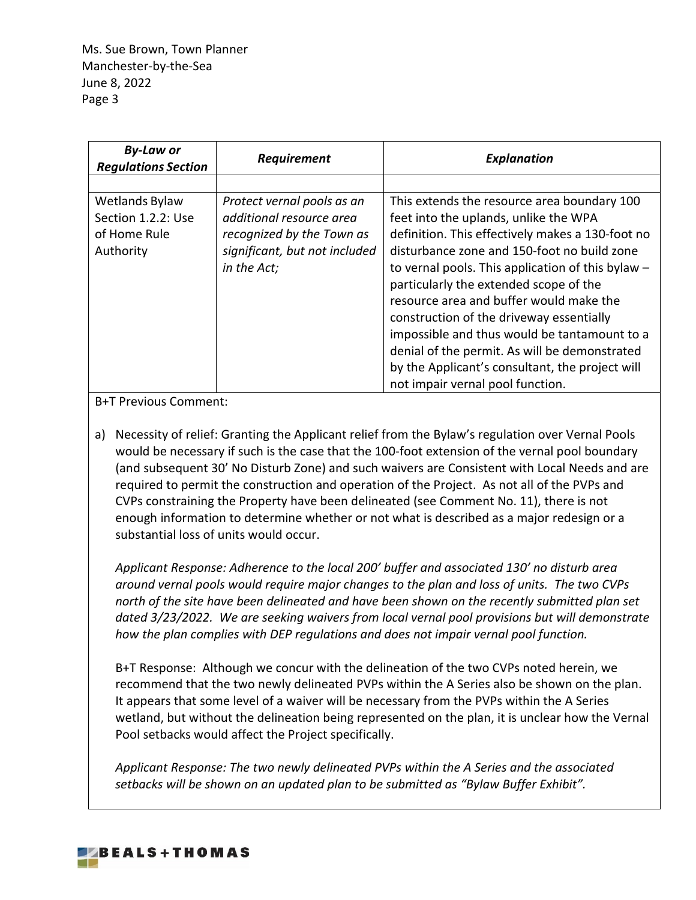| <b>By-Law or</b><br><b>Regulations Section</b> | Requirement                   | <b>Explanation</b>                                |
|------------------------------------------------|-------------------------------|---------------------------------------------------|
|                                                |                               |                                                   |
| Wetlands Bylaw                                 | Protect vernal pools as an    | This extends the resource area boundary 100       |
| Section 1.2.2: Use                             | additional resource area      | feet into the uplands, unlike the WPA             |
| of Home Rule                                   | recognized by the Town as     | definition. This effectively makes a 130-foot no  |
| Authority                                      | significant, but not included | disturbance zone and 150-foot no build zone       |
|                                                | in the Act;                   | to vernal pools. This application of this bylaw - |
|                                                |                               | particularly the extended scope of the            |
|                                                |                               | resource area and buffer would make the           |
|                                                |                               | construction of the driveway essentially          |
|                                                |                               | impossible and thus would be tantamount to a      |
|                                                |                               | denial of the permit. As will be demonstrated     |
|                                                |                               | by the Applicant's consultant, the project will   |
|                                                |                               | not impair vernal pool function.                  |

B+T Previous Comment:

a) Necessity of relief: Granting the Applicant relief from the Bylaw's regulation over Vernal Pools would be necessary if such is the case that the 100-foot extension of the vernal pool boundary (and subsequent 30' No Disturb Zone) and such waivers are Consistent with Local Needs and are required to permit the construction and operation of the Project. As not all of the PVPs and CVPs constraining the Property have been delineated (see Comment No. 11), there is not enough information to determine whether or not what is described as a major redesign or a substantial loss of units would occur.

*Applicant Response: Adherence to the local 200' buffer and associated 130' no disturb area around vernal pools would require major changes to the plan and loss of units. The two CVPs north of the site have been delineated and have been shown on the recently submitted plan set dated 3/23/2022. We are seeking waivers from local vernal pool provisions but will demonstrate how the plan complies with DEP regulations and does not impair vernal pool function.*

B+T Response: Although we concur with the delineation of the two CVPs noted herein, we recommend that the two newly delineated PVPs within the A Series also be shown on the plan. It appears that some level of a waiver will be necessary from the PVPs within the A Series wetland, but without the delineation being represented on the plan, it is unclear how the Vernal Pool setbacks would affect the Project specifically.

*Applicant Response: The two newly delineated PVPs within the A Series and the associated setbacks will be shown on an updated plan to be submitted as "Bylaw Buffer Exhibit".* 

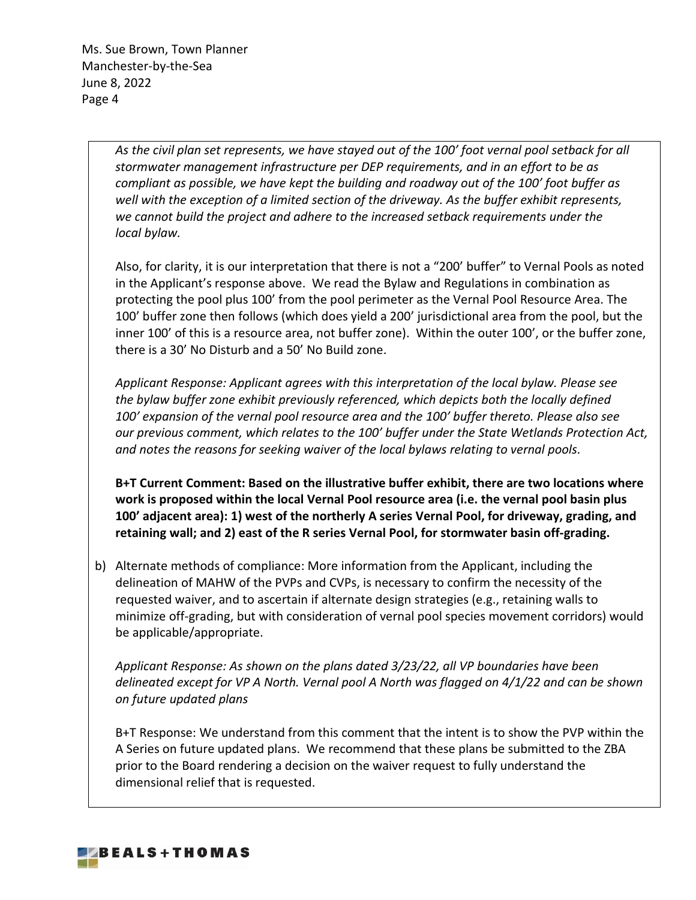> *As the civil plan set represents, we have stayed out of the 100' foot vernal pool setback for all stormwater management infrastructure per DEP requirements, and in an effort to be as compliant as possible, we have kept the building and roadway out of the 100' foot buffer as well with the exception of a limited section of the driveway. As the buffer exhibit represents, we cannot build the project and adhere to the increased setback requirements under the local bylaw.*

Also, for clarity, it is our interpretation that there is not a "200' buffer" to Vernal Pools as noted in the Applicant's response above. We read the Bylaw and Regulations in combination as protecting the pool plus 100' from the pool perimeter as the Vernal Pool Resource Area. The 100' buffer zone then follows (which does yield a 200' jurisdictional area from the pool, but the inner 100' of this is a resource area, not buffer zone). Within the outer 100', or the buffer zone, there is a 30' No Disturb and a 50' No Build zone.

*Applicant Response: Applicant agrees with this interpretation of the local bylaw. Please see the bylaw buffer zone exhibit previously referenced, which depicts both the locally defined 100' expansion of the vernal pool resource area and the 100' buffer thereto. Please also see our previous comment, which relates to the 100' buffer under the State Wetlands Protection Act, and notes the reasons for seeking waiver of the local bylaws relating to vernal pools.*

**B+T Current Comment: Based on the illustrative buffer exhibit, there are two locations where work is proposed within the local Vernal Pool resource area (i.e. the vernal pool basin plus 100' adjacent area): 1) west of the northerly A series Vernal Pool, for driveway, grading, and retaining wall; and 2) east of the R series Vernal Pool, for stormwater basin off-grading.** 

b) Alternate methods of compliance: More information from the Applicant, including the delineation of MAHW of the PVPs and CVPs, is necessary to confirm the necessity of the requested waiver, and to ascertain if alternate design strategies (e.g., retaining walls to minimize off-grading, but with consideration of vernal pool species movement corridors) would be applicable/appropriate.

*Applicant Response: As shown on the plans dated 3/23/22, all VP boundaries have been delineated except for VP A North. Vernal pool A North was flagged on 4/1/22 and can be shown on future updated plans*

B+T Response: We understand from this comment that the intent is to show the PVP within the A Series on future updated plans. We recommend that these plans be submitted to the ZBA prior to the Board rendering a decision on the waiver request to fully understand the dimensional relief that is requested.

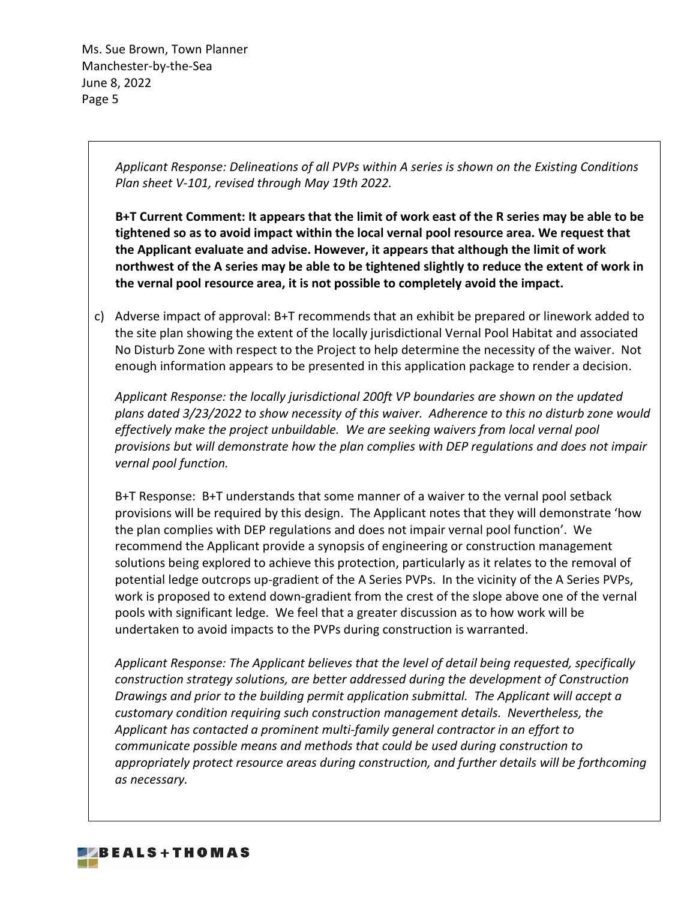> *Applicant Response: Delineations of all PVPs within A series is shown on the Existing Conditions Plan sheet V-101, revised through May 19th 2022.*

**B+T Current Comment: It appears that the limit of work east of the R series may be able to be tightened so as to avoid impact within the local vernal pool resource area. We request that the Applicant evaluate and advise. However, it appears that although the limit of work northwest of the A series may be able to be tightened slightly to reduce the extent of work in the vernal pool resource area, it is not possible to completely avoid the impact.** 

c) Adverse impact of approval: B+T recommends that an exhibit be prepared or linework added to the site plan showing the extent of the locally jurisdictional Vernal Pool Habitat and associated No Disturb Zone with respect to the Project to help determine the necessity of the waiver. Not enough information appears to be presented in this application package to render a decision.

*Applicant Response: the locally jurisdictional 200ft VP boundaries are shown on the updated plans dated 3/23/2022 to show necessity of this waiver. Adherence to this no disturb zone would effectively make the project unbuildable. We are seeking waivers from local vernal pool provisions but will demonstrate how the plan complies with DEP regulations and does not impair vernal pool function.*

B+T Response: B+T understands that some manner of a waiver to the vernal pool setback provisions will be required by this design. The Applicant notes that they will demonstrate 'how the plan complies with DEP regulations and does not impair vernal pool function'. We recommend the Applicant provide a synopsis of engineering or construction management solutions being explored to achieve this protection, particularly as it relates to the removal of potential ledge outcrops up-gradient of the A Series PVPs. In the vicinity of the A Series PVPs, work is proposed to extend down-gradient from the crest of the slope above one of the vernal pools with significant ledge. We feel that a greater discussion as to how work will be undertaken to avoid impacts to the PVPs during construction is warranted.

*Applicant Response: The Applicant believes that the level of detail being requested, specifically construction strategy solutions, are better addressed during the development of Construction Drawings and prior to the building permit application submittal. The Applicant will accept a customary condition requiring such construction management details. Nevertheless, the Applicant has contacted a prominent multi-family general contractor in an effort to communicate possible means and methods that could be used during construction to appropriately protect resource areas during construction, and further details will be forthcoming as necessary.*

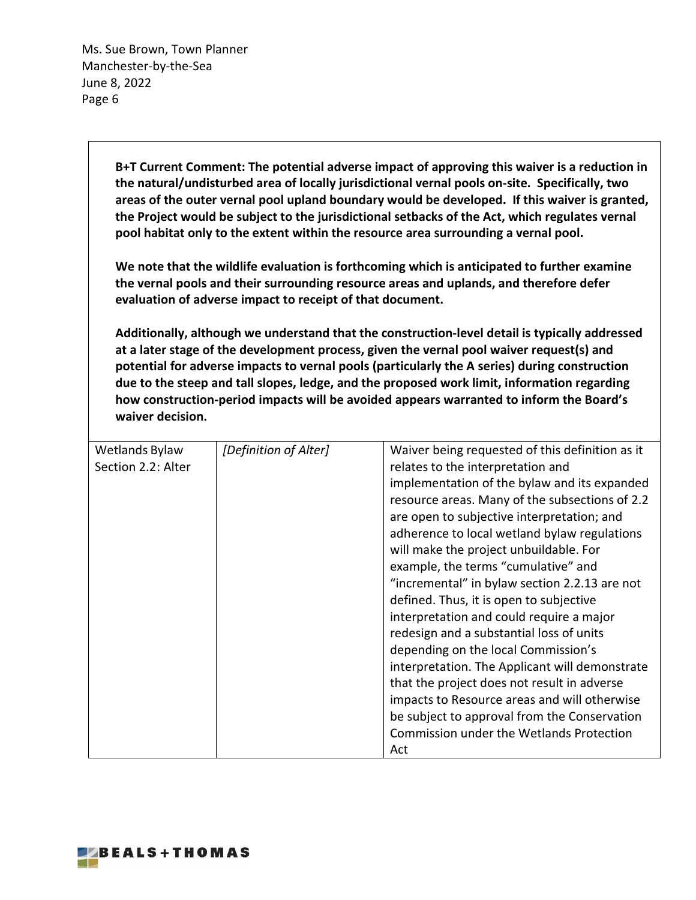> <span id="page-5-0"></span>**B+T Current Comment: The potential adverse impact of approving this waiver is a reduction in the natural/undisturbed area of locally jurisdictional vernal pools on-site. Specifically, two areas of the outer vernal pool upland boundary would be developed. If this waiver is granted, the Project would be subject to the jurisdictional setbacks of the Act, which regulates vernal pool habitat only to the extent within the resource area surrounding a vernal pool.**

**We note that the wildlife evaluation is forthcoming which is anticipated to further examine the vernal pools and their surrounding resource areas and uplands, and therefore defer evaluation of adverse impact to receipt of that document.**

**Additionally, although we understand that the construction-level detail is typically addressed at a later stage of the development process, given the vernal pool waiver request(s) and potential for adverse impacts to vernal pools (particularly the A series) during construction due to the steep and tall slopes, ledge, and the proposed work limit, information regarding how construction-period impacts will be avoided appears warranted to inform the Board's waiver decision.**

| Wetlands Bylaw     | [Definition of Alter] | Waiver being requested of this definition as it |
|--------------------|-----------------------|-------------------------------------------------|
| Section 2.2: Alter |                       | relates to the interpretation and               |
|                    |                       | implementation of the bylaw and its expanded    |
|                    |                       | resource areas. Many of the subsections of 2.2  |
|                    |                       | are open to subjective interpretation; and      |
|                    |                       | adherence to local wetland bylaw regulations    |
|                    |                       | will make the project unbuildable. For          |
|                    |                       | example, the terms "cumulative" and             |
|                    |                       | "incremental" in bylaw section 2.2.13 are not   |
|                    |                       | defined. Thus, it is open to subjective         |
|                    |                       | interpretation and could require a major        |
|                    |                       | redesign and a substantial loss of units        |
|                    |                       | depending on the local Commission's             |
|                    |                       | interpretation. The Applicant will demonstrate  |
|                    |                       | that the project does not result in adverse     |
|                    |                       | impacts to Resource areas and will otherwise    |
|                    |                       | be subject to approval from the Conservation    |
|                    |                       | Commission under the Wetlands Protection        |
|                    |                       | Act                                             |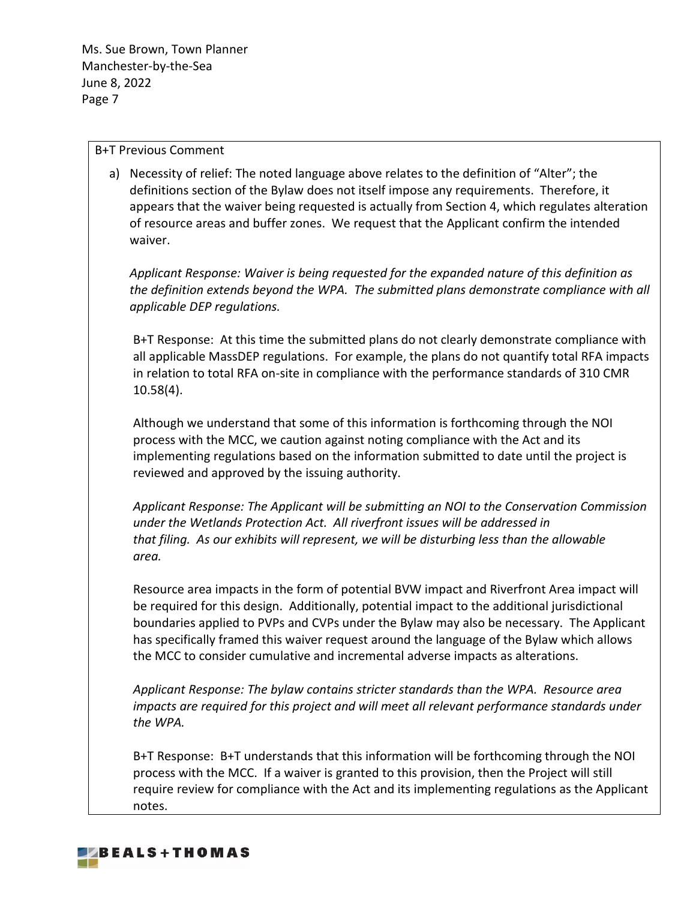### B+T Previous Comment

a) Necessity of relief: The noted language above relates to the definition of "Alter"; the definitions section of the Bylaw does not itself impose any requirements. Therefore, it appears that the waiver being requested is actually from Section 4, which regulates alteration of resource areas and buffer zones. We request that the Applicant confirm the intended waiver.

*Applicant Response: Waiver is being requested for the expanded nature of this definition as the definition extends beyond the WPA. The submitted plans demonstrate compliance with all applicable DEP regulations.*

B+T Response: At this time the submitted plans do not clearly demonstrate compliance with all applicable MassDEP regulations. For example, the plans do not quantify total RFA impacts in relation to total RFA on-site in compliance with the performance standards of 310 CMR 10.58(4).

Although we understand that some of this information is forthcoming through the NOI process with the MCC, we caution against noting compliance with the Act and its implementing regulations based on the information submitted to date until the project is reviewed and approved by the issuing authority.

*Applicant Response: The Applicant will be submitting an NOI to the Conservation Commission under the Wetlands Protection Act. All riverfront issues will be addressed in that filing. As our exhibits will represent, we will be disturbing less than the allowable area.*

Resource area impacts in the form of potential BVW impact and Riverfront Area impact will be required for this design. Additionally, potential impact to the additional jurisdictional boundaries applied to PVPs and CVPs under the Bylaw may also be necessary. The Applicant has specifically framed this waiver request around the language of the Bylaw which allows the MCC to consider cumulative and incremental adverse impacts as alterations.

*Applicant Response: The bylaw contains stricter standards than the WPA. Resource area impacts are required for this project and will meet all relevant performance standards under the WPA.*

B+T Response: B+T understands that this information will be forthcoming through the NOI process with the MCC. If a waiver is granted to this provision, then the Project will still require review for compliance with the Act and its implementing regulations as the Applicant notes.

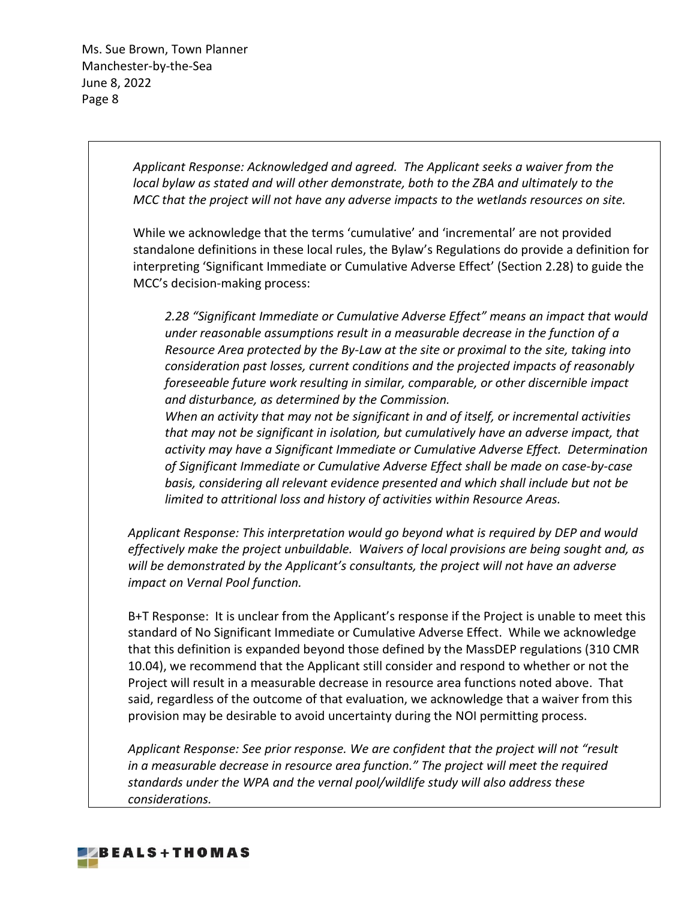> *Applicant Response: Acknowledged and agreed. The Applicant seeks a waiver from the local bylaw as stated and will other demonstrate, both to the ZBA and ultimately to the MCC that the project will not have any adverse impacts to the wetlands resources on site.*

While we acknowledge that the terms 'cumulative' and 'incremental' are not provided standalone definitions in these local rules, the Bylaw's Regulations do provide a definition for interpreting 'Significant Immediate or Cumulative Adverse Effect' (Section 2.28) to guide the MCC's decision-making process:

*2.28 "Significant Immediate or Cumulative Adverse Effect" means an impact that would under reasonable assumptions result in a measurable decrease in the function of a Resource Area protected by the By-Law at the site or proximal to the site, taking into consideration past losses, current conditions and the projected impacts of reasonably foreseeable future work resulting in similar, comparable, or other discernible impact and disturbance, as determined by the Commission.* 

*When an activity that may not be significant in and of itself, or incremental activities that may not be significant in isolation, but cumulatively have an adverse impact, that activity may have a Significant Immediate or Cumulative Adverse Effect. Determination of Significant Immediate or Cumulative Adverse Effect shall be made on case-by-case basis, considering all relevant evidence presented and which shall include but not be limited to attritional loss and history of activities within Resource Areas.*

*Applicant Response: This interpretation would go beyond what is required by DEP and would effectively make the project unbuildable. Waivers of local provisions are being sought and, as will be demonstrated by the Applicant's consultants, the project will not have an adverse impact on Vernal Pool function.*

B+T Response: It is unclear from the Applicant's response if the Project is unable to meet this standard of No Significant Immediate or Cumulative Adverse Effect. While we acknowledge that this definition is expanded beyond those defined by the MassDEP regulations (310 CMR 10.04), we recommend that the Applicant still consider and respond to whether or not the Project will result in a measurable decrease in resource area functions noted above. That said, regardless of the outcome of that evaluation, we acknowledge that a waiver from this provision may be desirable to avoid uncertainty during the NOI permitting process.

*Applicant Response: See prior response. We are confident that the project will not "result in a measurable decrease in resource area function." The project will meet the required standards under the WPA and the vernal pool/wildlife study will also address these considerations.*

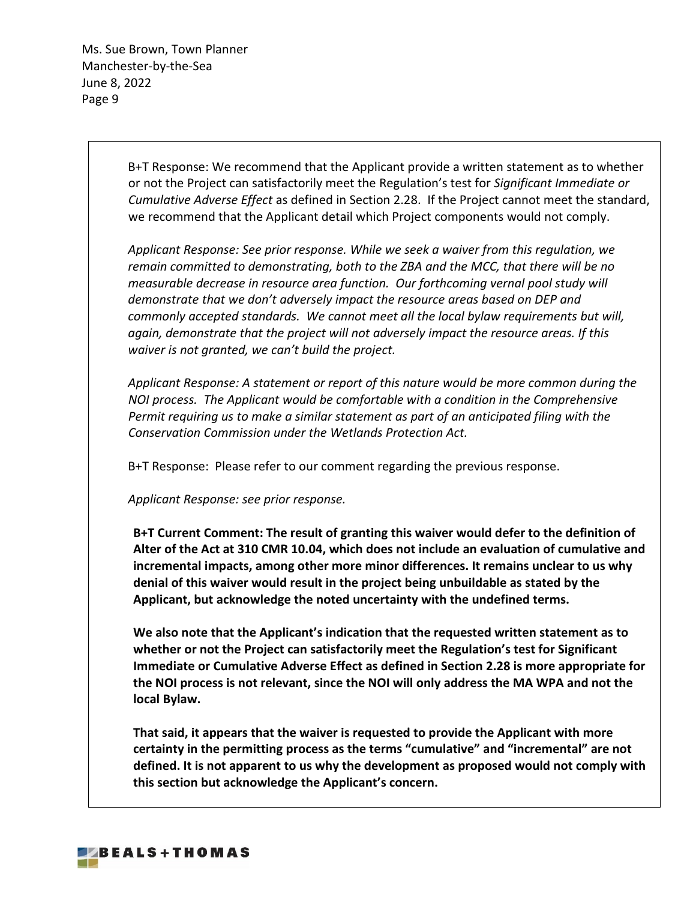> B+T Response: We recommend that the Applicant provide a written statement as to whether or not the Project can satisfactorily meet the Regulation's test for *Significant Immediate or Cumulative Adverse Effect* as defined in Section 2.28. If the Project cannot meet the standard, we recommend that the Applicant detail which Project components would not comply.

*Applicant Response: See prior response. While we seek a waiver from this regulation, we remain committed to demonstrating, both to the ZBA and the MCC, that there will be no measurable decrease in resource area function. Our forthcoming vernal pool study will demonstrate that we don't adversely impact the resource areas based on DEP and commonly accepted standards. We cannot meet all the local bylaw requirements but will, again, demonstrate that the project will not adversely impact the resource areas. If this waiver is not granted, we can't build the project.*

*Applicant Response: A statement or report of this nature would be more common during the NOI process. The Applicant would be comfortable with a condition in the Comprehensive Permit requiring us to make a similar statement as part of an anticipated filing with the Conservation Commission under the Wetlands Protection Act.*

B+T Response: Please refer to our comment regarding the previous response.

*Applicant Response: see prior response.*

**B+T Current Comment: The result of granting this waiver would defer to the definition of Alter of the Act at 310 CMR 10.04, which does not include an evaluation of cumulative and incremental impacts, among other more minor differences. It remains unclear to us why denial of this waiver would result in the project being unbuildable as stated by the Applicant, but acknowledge the noted uncertainty with the undefined terms.**

**We also note that the Applicant's indication that the requested written statement as to whether or not the Project can satisfactorily meet the Regulation's test for Significant Immediate or Cumulative Adverse Effect as defined in Section 2.28 is more appropriate for the NOI process is not relevant, since the NOI will only address the MA WPA and not the local Bylaw.**

**That said, it appears that the waiver is requested to provide the Applicant with more certainty in the permitting process as the terms "cumulative" and "incremental" are not defined. It is not apparent to us why the development as proposed would not comply with this section but acknowledge the Applicant's concern.**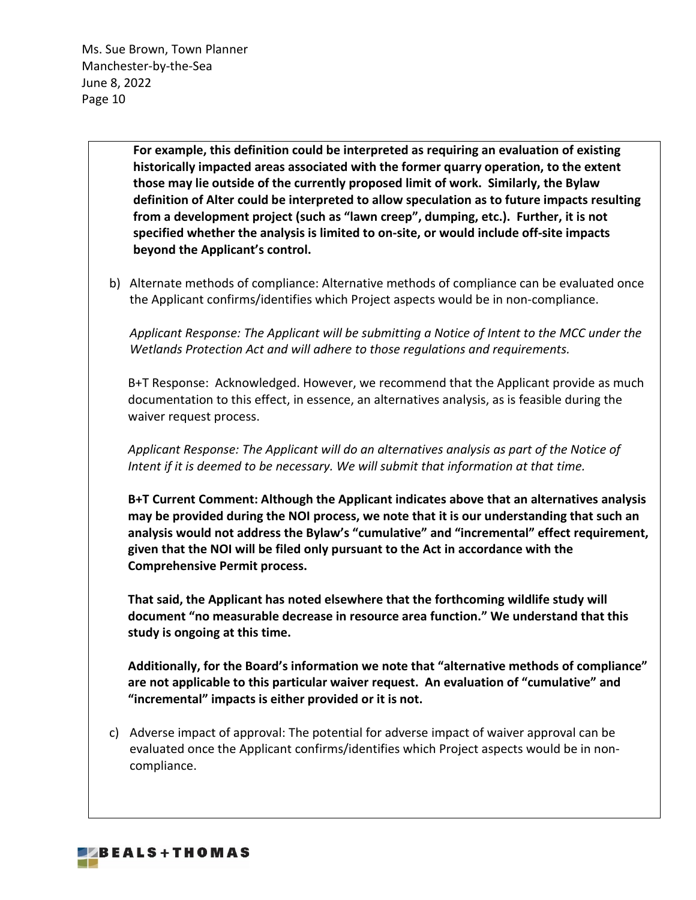> **For example, this definition could be interpreted as requiring an evaluation of existing historically impacted areas associated with the former quarry operation, to the extent those may lie outside of the currently proposed limit of work. Similarly, the Bylaw definition of Alter could be interpreted to allow speculation as to future impacts resulting from a development project (such as "lawn creep", dumping, etc.). Further, it is not specified whether the analysis is limited to on-site, or would include off-site impacts beyond the Applicant's control.**

b) Alternate methods of compliance: Alternative methods of compliance can be evaluated once the Applicant confirms/identifies which Project aspects would be in non-compliance.

*Applicant Response: The Applicant will be submitting a Notice of Intent to the MCC under the Wetlands Protection Act and will adhere to those regulations and requirements.*

B+T Response: Acknowledged. However, we recommend that the Applicant provide as much documentation to this effect, in essence, an alternatives analysis, as is feasible during the waiver request process.

*Applicant Response: The Applicant will do an alternatives analysis as part of the Notice of Intent if it is deemed to be necessary. We will submit that information at that time.*

**B+T Current Comment: Although the Applicant indicates above that an alternatives analysis may be provided during the NOI process, we note that it is our understanding that such an analysis would not address the Bylaw's "cumulative" and "incremental" effect requirement, given that the NOI will be filed only pursuant to the Act in accordance with the Comprehensive Permit process.**

**That said, the Applicant has noted elsewhere that the forthcoming wildlife study will document "no measurable decrease in resource area function." We understand that this study is ongoing at this time.**

**Additionally, for the Board's information we note that "alternative methods of compliance" are not applicable to this particular waiver request. An evaluation of "cumulative" and "incremental" impacts is either provided or it is not.**

c) Adverse impact of approval: The potential for adverse impact of waiver approval can be evaluated once the Applicant confirms/identifies which Project aspects would be in noncompliance.

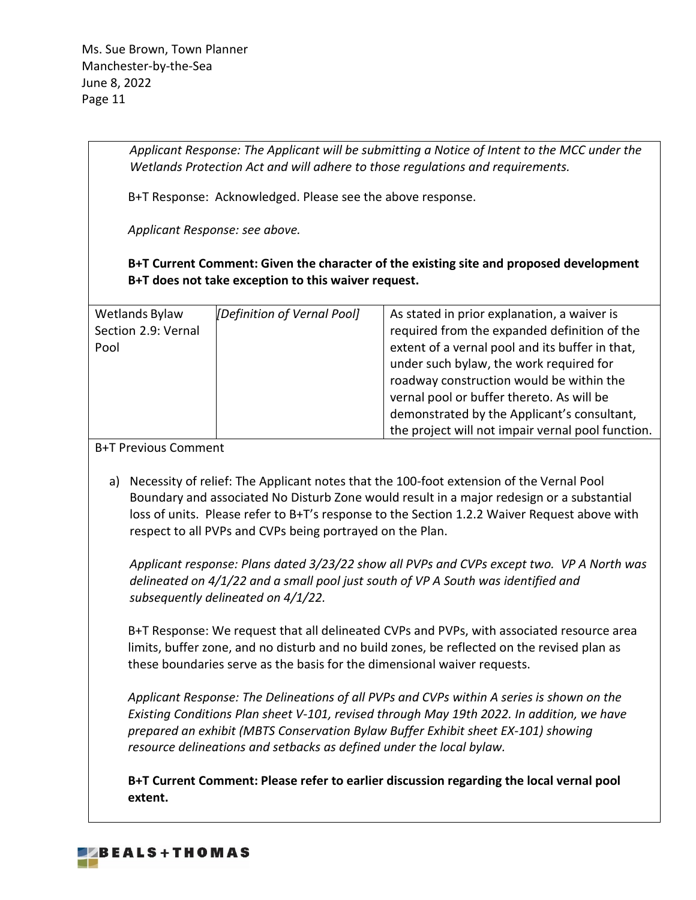> *Applicant Response: The Applicant will be submitting a Notice of Intent to the MCC under the Wetlands Protection Act and will adhere to those regulations and requirements.*

B+T Response: Acknowledged. Please see the above response.

*Applicant Response: see above.*

**B+T Current Comment: Given the character of the existing site and proposed development B+T does not take exception to this waiver request.** 

| Wetlands Bylaw      | [Definition of Vernal Pool] | As stated in prior explanation, a waiver is       |
|---------------------|-----------------------------|---------------------------------------------------|
| Section 2.9: Vernal |                             | required from the expanded definition of the      |
| Pool                |                             | extent of a vernal pool and its buffer in that,   |
|                     |                             | under such bylaw, the work required for           |
|                     |                             | roadway construction would be within the          |
|                     |                             | vernal pool or buffer thereto. As will be         |
|                     |                             | demonstrated by the Applicant's consultant,       |
|                     |                             | the project will not impair vernal pool function. |

B+T Previous Comment

a) Necessity of relief: The Applicant notes that the 100-foot extension of the Vernal Pool Boundary and associated No Disturb Zone would result in a major redesign or a substantial loss of units. Please refer to B+T's response to the Section 1.2.2 Waiver Request above with respect to all PVPs and CVPs being portrayed on the Plan.

*Applicant response: Plans dated 3/23/22 show all PVPs and CVPs except two. VP A North was delineated on 4/1/22 and a small pool just south of VP A South was identified and subsequently delineated on 4/1/22.*

B+T Response: We request that all delineated CVPs and PVPs, with associated resource area limits, buffer zone, and no disturb and no build zones, be reflected on the revised plan as these boundaries serve as the basis for the dimensional waiver requests.

*Applicant Response: The Delineations of all PVPs and CVPs within A series is shown on the Existing Conditions Plan sheet V-101, revised through May 19th 2022. In addition, we have prepared an exhibit (MBTS Conservation Bylaw Buffer Exhibit sheet EX-101) showing resource delineations and setbacks as defined under the local bylaw.*

**B+T Current Comment: Please refer to earlier discussion regarding the local vernal pool extent.** 

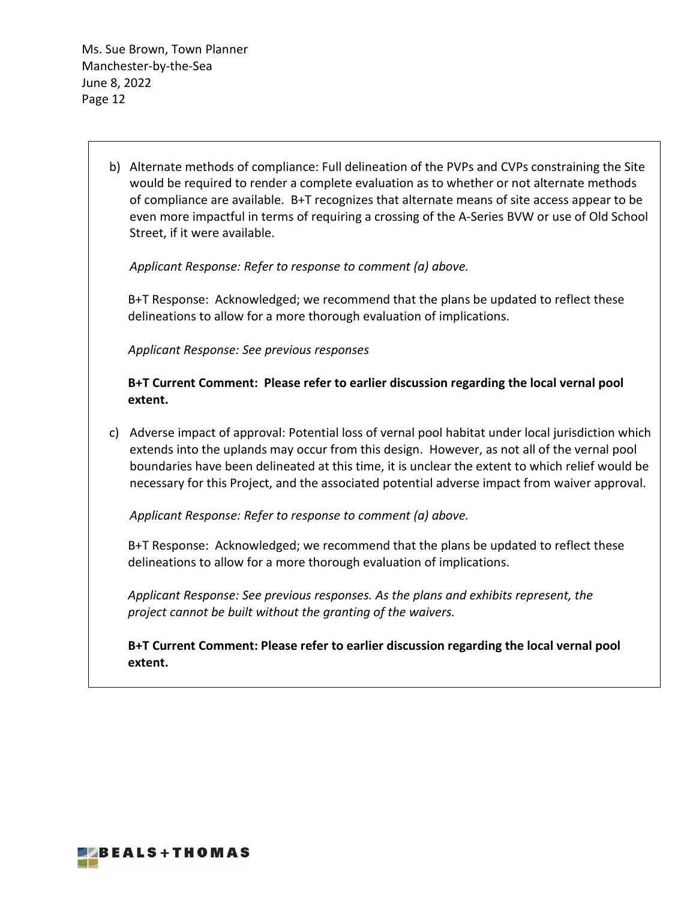> b) Alternate methods of compliance: Full delineation of the PVPs and CVPs constraining the Site would be required to render a complete evaluation as to whether or not alternate methods of compliance are available. B+T recognizes that alternate means of site access appear to be even more impactful in terms of requiring a crossing of the A-Series BVW or use of Old School Street, if it were available.

*Applicant Response: Refer to response to comment (a) above.*

B+T Response: Acknowledged; we recommend that the plans be updated to reflect these delineations to allow for a more thorough evaluation of implications.

*Applicant Response: See previous responses*

**B+T Current Comment: Please refer to earlier discussion regarding the local vernal pool extent.**

c) Adverse impact of approval: Potential loss of vernal pool habitat under local jurisdiction which extends into the uplands may occur from this design. However, as not all of the vernal pool boundaries have been delineated at this time, it is unclear the extent to which relief would be necessary for this Project, and the associated potential adverse impact from waiver approval.

*Applicant Response: Refer to response to comment (a) above.*

B+T Response: Acknowledged; we recommend that the plans be updated to reflect these delineations to allow for a more thorough evaluation of implications.

*Applicant Response: See previous responses. As the plans and exhibits represent, the project cannot be built without the granting of the waivers.*

**B+T Current Comment: Please refer to earlier discussion regarding the local vernal pool extent.**

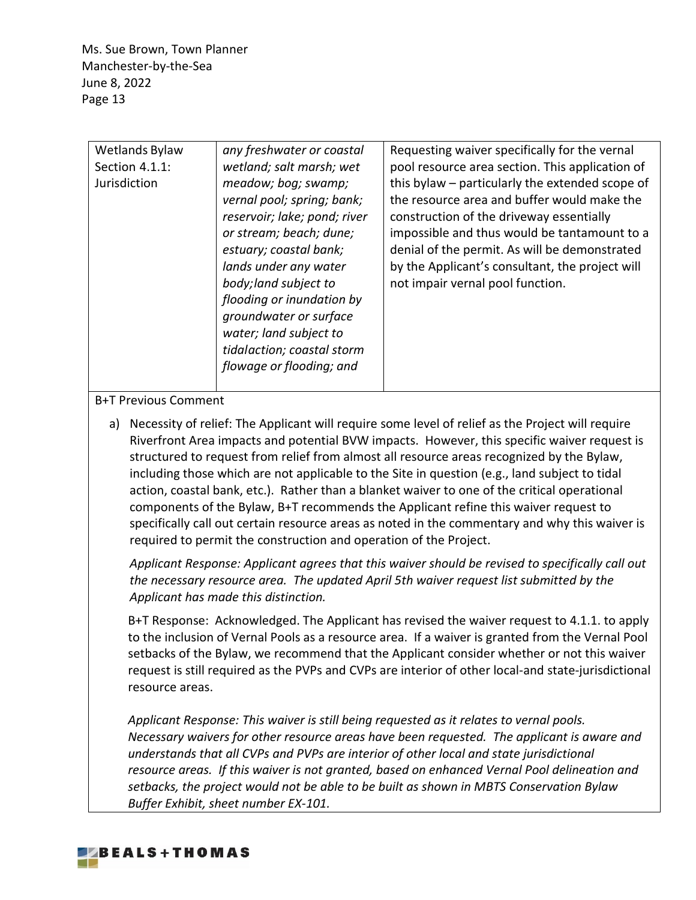| Wetlands Bylaw<br>Section 4.1.1:<br>Jurisdiction | any freshwater or coastal<br>wetland; salt marsh; wet<br>meadow; bog; swamp;<br>vernal pool; spring; bank;<br>reservoir; lake; pond; river<br>or stream; beach; dune;<br>estuary; coastal bank;<br>lands under any water<br>body; land subject to<br>flooding or inundation by<br>groundwater or surface<br>water; land subject to<br>tidalaction; coastal storm<br>flowage or flooding; and | Requesting waiver specifically for the vernal<br>pool resource area section. This application of<br>this bylaw - particularly the extended scope of<br>the resource area and buffer would make the<br>construction of the driveway essentially<br>impossible and thus would be tantamount to a<br>denial of the permit. As will be demonstrated<br>by the Applicant's consultant, the project will<br>not impair vernal pool function. |
|--------------------------------------------------|----------------------------------------------------------------------------------------------------------------------------------------------------------------------------------------------------------------------------------------------------------------------------------------------------------------------------------------------------------------------------------------------|----------------------------------------------------------------------------------------------------------------------------------------------------------------------------------------------------------------------------------------------------------------------------------------------------------------------------------------------------------------------------------------------------------------------------------------|

## B+T Previous Comment

a) Necessity of relief: The Applicant will require some level of relief as the Project will require Riverfront Area impacts and potential BVW impacts. However, this specific waiver request is structured to request from relief from almost all resource areas recognized by the Bylaw, including those which are not applicable to the Site in question (e.g., land subject to tidal action, coastal bank, etc.). Rather than a blanket waiver to one of the critical operational components of the Bylaw, B+T recommends the Applicant refine this waiver request to specifically call out certain resource areas as noted in the commentary and why this waiver is required to permit the construction and operation of the Project.

*Applicant Response: Applicant agrees that this waiver should be revised to specifically call out the necessary resource area. The updated April 5th waiver request list submitted by the Applicant has made this distinction.*

B+T Response: Acknowledged. The Applicant has revised the waiver request to 4.1.1. to apply to the inclusion of Vernal Pools as a resource area. If a waiver is granted from the Vernal Pool setbacks of the Bylaw, we recommend that the Applicant consider whether or not this waiver request is still required as the PVPs and CVPs are interior of other local-and state-jurisdictional resource areas.

*Applicant Response: This waiver is still being requested as it relates to vernal pools. Necessary waivers for other resource areas have been requested. The applicant is aware and understands that all CVPs and PVPs are interior of other local and state jurisdictional resource areas. If this waiver is not granted, based on enhanced Vernal Pool delineation and setbacks, the project would not be able to be built as shown in MBTS Conservation Bylaw Buffer Exhibit, sheet number EX-101.*

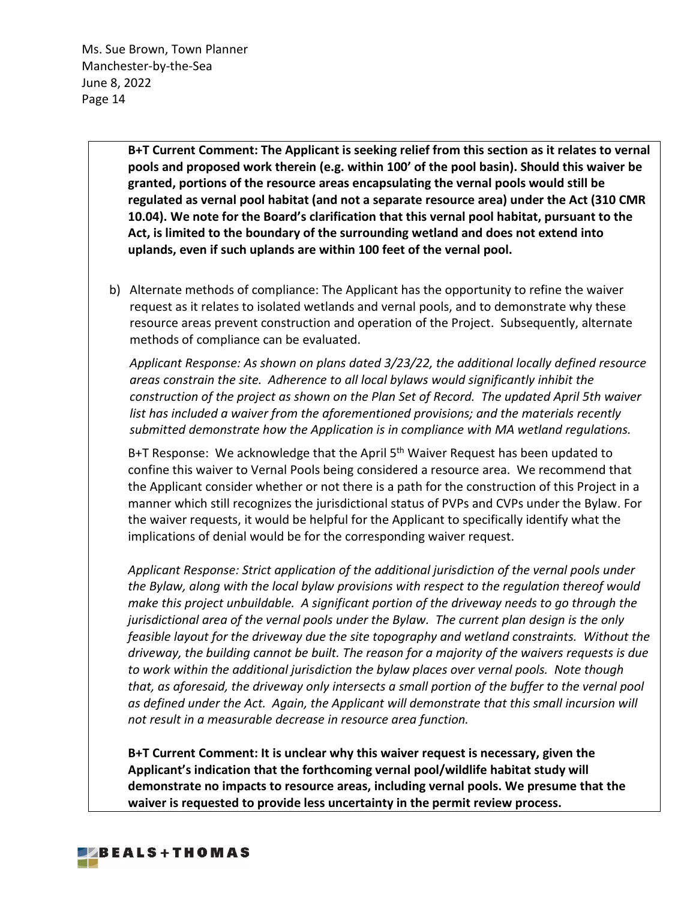> **B+T Current Comment: The Applicant is seeking relief from this section as it relates to vernal pools and proposed work therein (e.g. within 100' of the pool basin). Should this waiver be granted, portions of the resource areas encapsulating the vernal pools would still be regulated as vernal pool habitat (and not a separate resource area) under the Act (310 CMR 10.04). We note for the Board's clarification that this vernal pool habitat, pursuant to the Act, is limited to the boundary of the surrounding wetland and does not extend into uplands, even if such uplands are within 100 feet of the vernal pool.**

b) Alternate methods of compliance: The Applicant has the opportunity to refine the waiver request as it relates to isolated wetlands and vernal pools, and to demonstrate why these resource areas prevent construction and operation of the Project. Subsequently, alternate methods of compliance can be evaluated.

*Applicant Response: As shown on plans dated 3/23/22, the additional locally defined resource areas constrain the site. Adherence to all local bylaws would significantly inhibit the construction of the project as shown on the Plan Set of Record. The updated April 5th waiver list has included a waiver from the aforementioned provisions; and the materials recently submitted demonstrate how the Application is in compliance with MA wetland regulations.*

B+T Response: We acknowledge that the April 5<sup>th</sup> Waiver Request has been updated to confine this waiver to Vernal Pools being considered a resource area. We recommend that the Applicant consider whether or not there is a path for the construction of this Project in a manner which still recognizes the jurisdictional status of PVPs and CVPs under the Bylaw. For the waiver requests, it would be helpful for the Applicant to specifically identify what the implications of denial would be for the corresponding waiver request.

*Applicant Response: Strict application of the additional jurisdiction of the vernal pools under the Bylaw, along with the local bylaw provisions with respect to the regulation thereof would make this project unbuildable. A significant portion of the driveway needs to go through the jurisdictional area of the vernal pools under the Bylaw. The current plan design is the only feasible layout for the driveway due the site topography and wetland constraints. Without the driveway, the building cannot be built. The reason for a majority of the waivers requests is due to work within the additional jurisdiction the bylaw places over vernal pools. Note though that, as aforesaid, the driveway only intersects a small portion of the buffer to the vernal pool as defined under the Act. Again, the Applicant will demonstrate that this small incursion will not result in a measurable decrease in resource area function.*

**B+T Current Comment: It is unclear why this waiver request is necessary, given the Applicant's indication that the forthcoming vernal pool/wildlife habitat study will demonstrate no impacts to resource areas, including vernal pools. We presume that the waiver is requested to provide less uncertainty in the permit review process.** 

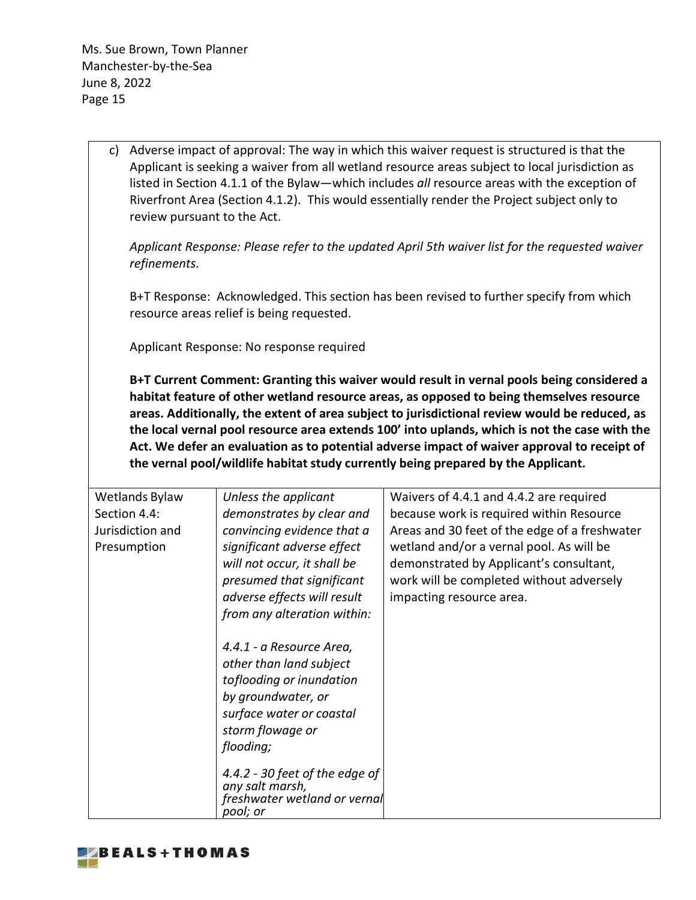> c) Adverse impact of approval: The way in which this waiver request is structured is that the Applicant is seeking a waiver from all wetland resource areas subject to local jurisdiction as listed in Section 4.1.1 of the Bylaw—which includes *all* resource areas with the exception of Riverfront Area (Section 4.1.2). This would essentially render the Project subject only to review pursuant to the Act.

*Applicant Response: Please refer to the updated April 5th waiver list for the requested waiver refinements.*

B+T Response: Acknowledged. This section has been revised to further specify from which resource areas relief is being requested.

Applicant Response: No response required

**B+T Current Comment: Granting this waiver would result in vernal pools being considered a habitat feature of other wetland resource areas, as opposed to being themselves resource areas. Additionally, the extent of area subject to jurisdictional review would be reduced, as the local vernal pool resource area extends 100' into uplands, which is not the case with the Act. We defer an evaluation as to potential adverse impact of waiver approval to receipt of the vernal pool/wildlife habitat study currently being prepared by the Applicant.**

| Wetlands Bylaw<br>Section 4.4:<br>Jurisdiction and | Unless the applicant<br>demonstrates by clear and<br>convincing evidence that a                                                                                    | Waivers of 4.4.1 and 4.4.2 are required<br>because work is required within Resource<br>Areas and 30 feet of the edge of a freshwater                        |
|----------------------------------------------------|--------------------------------------------------------------------------------------------------------------------------------------------------------------------|-------------------------------------------------------------------------------------------------------------------------------------------------------------|
| Presumption                                        | significant adverse effect<br>will not occur, it shall be<br>presumed that significant<br>adverse effects will result<br>from any alteration within:               | wetland and/or a vernal pool. As will be<br>demonstrated by Applicant's consultant,<br>work will be completed without adversely<br>impacting resource area. |
|                                                    | 4.4.1 - a Resource Area,<br>other than land subject<br>toflooding or inundation<br>by groundwater, or<br>surface water or coastal<br>storm flowage or<br>flooding; |                                                                                                                                                             |
|                                                    | 4.4.2 - 30 feet of the edge of<br>any salt marsh,<br>freshwater wetland or vernal<br>pool; or                                                                      |                                                                                                                                                             |

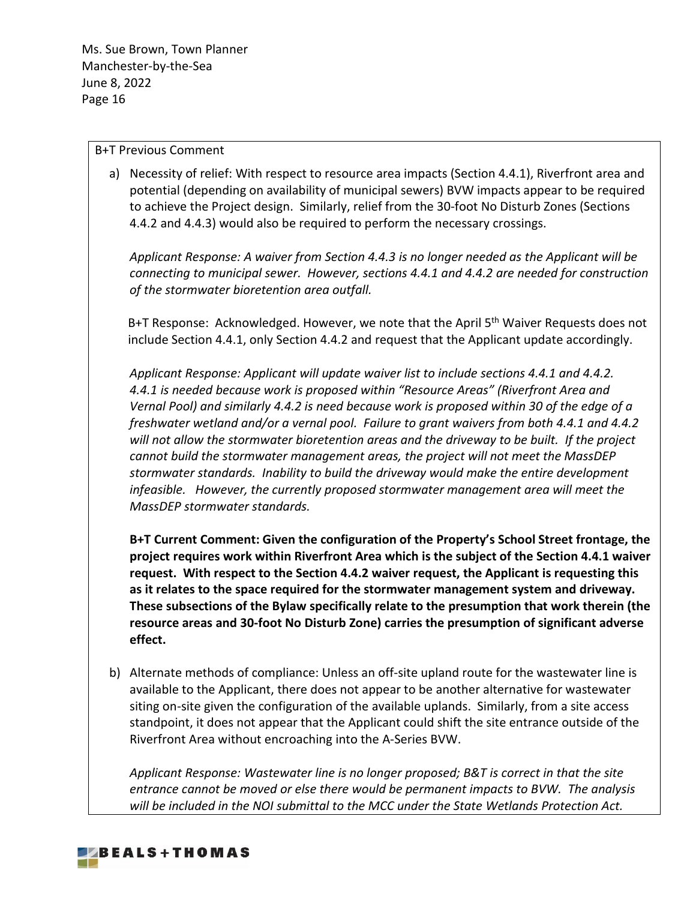### B+T Previous Comment

a) Necessity of relief: With respect to resource area impacts (Section 4.4.1), Riverfront area and potential (depending on availability of municipal sewers) BVW impacts appear to be required to achieve the Project design. Similarly, relief from the 30-foot No Disturb Zones (Sections 4.4.2 and 4.4.3) would also be required to perform the necessary crossings.

*Applicant Response: A waiver from Section 4.4.3 is no longer needed as the Applicant will be connecting to municipal sewer. However, sections 4.4.1 and 4.4.2 are needed for construction of the stormwater bioretention area outfall.*

B+T Response: Acknowledged. However, we note that the April 5<sup>th</sup> Waiver Requests does not include Section 4.4.1, only Section 4.4.2 and request that the Applicant update accordingly.

*Applicant Response: Applicant will update waiver list to include sections 4.4.1 and 4.4.2. 4.4.1 is needed because work is proposed within "Resource Areas" (Riverfront Area and Vernal Pool) and similarly 4.4.2 is need because work is proposed within 30 of the edge of a freshwater wetland and/or a vernal pool. Failure to grant waivers from both 4.4.1 and 4.4.2 will not allow the stormwater bioretention areas and the driveway to be built. If the project cannot build the stormwater management areas, the project will not meet the MassDEP stormwater standards. Inability to build the driveway would make the entire development infeasible. However, the currently proposed stormwater management area will meet the MassDEP stormwater standards.*

**B+T Current Comment: Given the configuration of the Property's School Street frontage, the project requires work within Riverfront Area which is the subject of the Section 4.4.1 waiver request. With respect to the Section 4.4.2 waiver request, the Applicant is requesting this as it relates to the space required for the stormwater management system and driveway. These subsections of the Bylaw specifically relate to the presumption that work therein (the resource areas and 30-foot No Disturb Zone) carries the presumption of significant adverse effect.** 

b) Alternate methods of compliance: Unless an off-site upland route for the wastewater line is available to the Applicant, there does not appear to be another alternative for wastewater siting on-site given the configuration of the available uplands. Similarly, from a site access standpoint, it does not appear that the Applicant could shift the site entrance outside of the Riverfront Area without encroaching into the A-Series BVW.

*Applicant Response: Wastewater line is no longer proposed; B&T is correct in that the site entrance cannot be moved or else there would be permanent impacts to BVW. The analysis will be included in the NOI submittal to the MCC under the State Wetlands Protection Act.*

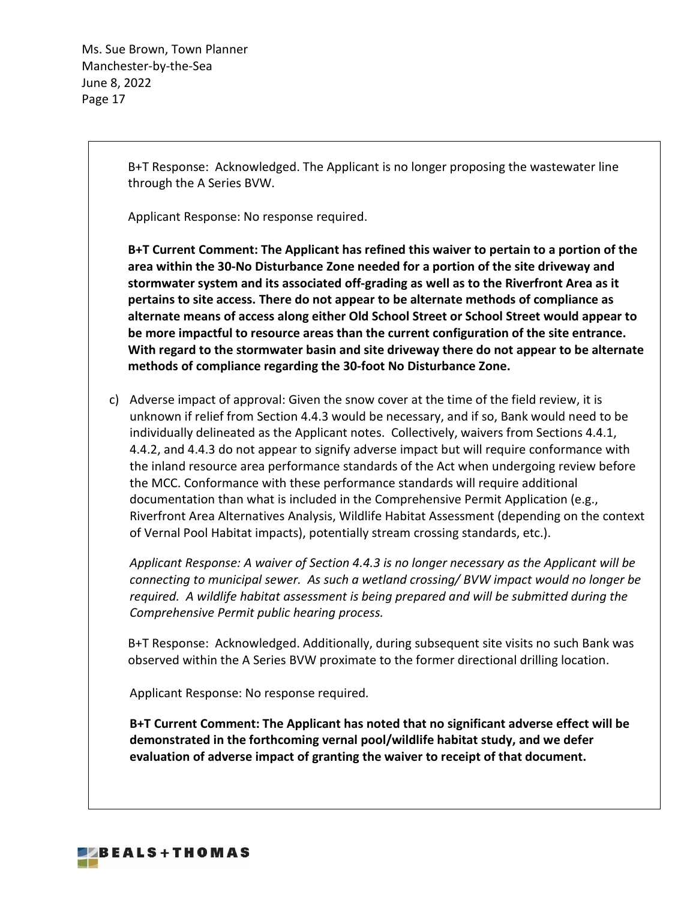> B+T Response: Acknowledged. The Applicant is no longer proposing the wastewater line through the A Series BVW.

Applicant Response: No response required.

**B+T Current Comment: The Applicant has refined this waiver to pertain to a portion of the area within the 30-No Disturbance Zone needed for a portion of the site driveway and stormwater system and its associated off-grading as well as to the Riverfront Area as it pertains to site access. There do not appear to be alternate methods of compliance as alternate means of access along either Old School Street or School Street would appear to be more impactful to resource areas than the current configuration of the site entrance. With regard to the stormwater basin and site driveway there do not appear to be alternate methods of compliance regarding the 30-foot No Disturbance Zone.**

c) Adverse impact of approval: Given the snow cover at the time of the field review, it is unknown if relief from Section 4.4.3 would be necessary, and if so, Bank would need to be individually delineated as the Applicant notes. Collectively, waivers from Sections 4.4.1, 4.4.2, and 4.4.3 do not appear to signify adverse impact but will require conformance with the inland resource area performance standards of the Act when undergoing review before the MCC. Conformance with these performance standards will require additional documentation than what is included in the Comprehensive Permit Application (e.g., Riverfront Area Alternatives Analysis, Wildlife Habitat Assessment (depending on the context of Vernal Pool Habitat impacts), potentially stream crossing standards, etc.).

*Applicant Response: A waiver of Section 4.4.3 is no longer necessary as the Applicant will be connecting to municipal sewer. As such a wetland crossing/ BVW impact would no longer be required. A wildlife habitat assessment is being prepared and will be submitted during the Comprehensive Permit public hearing process.*

B+T Response: Acknowledged. Additionally, during subsequent site visits no such Bank was observed within the A Series BVW proximate to the former directional drilling location.

Applicant Response: No response required*.*

**B+T Current Comment: The Applicant has noted that no significant adverse effect will be demonstrated in the forthcoming vernal pool/wildlife habitat study, and we defer evaluation of adverse impact of granting the waiver to receipt of that document.**

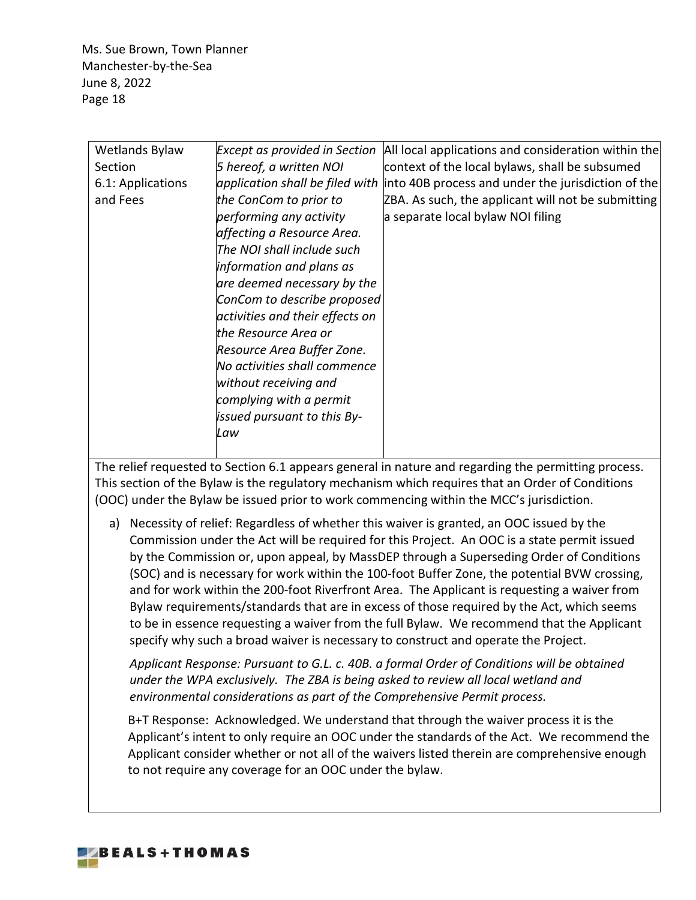| Wetlands Bylaw    | <b>Except as provided in Section</b> | All local applications and consideration within the |
|-------------------|--------------------------------------|-----------------------------------------------------|
| Section           | 5 hereof, a written NOI              | context of the local bylaws, shall be subsumed      |
| 6.1: Applications | application shall be filed with      | into 40B process and under the jurisdiction of the  |
| and Fees          | the ConCom to prior to               | ZBA. As such, the applicant will not be submitting  |
|                   | performing any activity              | a separate local bylaw NOI filing                   |
|                   | affecting a Resource Area.           |                                                     |
|                   | The NOI shall include such           |                                                     |
|                   | information and plans as             |                                                     |
|                   | are deemed necessary by the          |                                                     |
|                   | ConCom to describe proposed          |                                                     |
|                   | activities and their effects on      |                                                     |
|                   | the Resource Area or                 |                                                     |
|                   | Resource Area Buffer Zone.           |                                                     |
|                   | No activities shall commence         |                                                     |
|                   | without receiving and                |                                                     |
|                   | complying with a permit              |                                                     |
|                   | issued pursuant to this By-          |                                                     |
|                   | Law                                  |                                                     |
|                   |                                      |                                                     |

The relief requested to Section 6.1 appears general in nature and regarding the permitting process. This section of the Bylaw is the regulatory mechanism which requires that an Order of Conditions (OOC) under the Bylaw be issued prior to work commencing within the MCC's jurisdiction.

a) Necessity of relief: Regardless of whether this waiver is granted, an OOC issued by the Commission under the Act will be required for this Project. An OOC is a state permit issued by the Commission or, upon appeal, by MassDEP through a Superseding Order of Conditions (SOC) and is necessary for work within the 100-foot Buffer Zone, the potential BVW crossing, and for work within the 200-foot Riverfront Area. The Applicant is requesting a waiver from Bylaw requirements/standards that are in excess of those required by the Act, which seems to be in essence requesting a waiver from the full Bylaw. We recommend that the Applicant specify why such a broad waiver is necessary to construct and operate the Project.

*Applicant Response: Pursuant to G.L. c. 40B. a formal Order of Conditions will be obtained under the WPA exclusively. The ZBA is being asked to review all local wetland and environmental considerations as part of the Comprehensive Permit process.*

B+T Response: Acknowledged. We understand that through the waiver process it is the Applicant's intent to only require an OOC under the standards of the Act. We recommend the Applicant consider whether or not all of the waivers listed therein are comprehensive enough to not require any coverage for an OOC under the bylaw.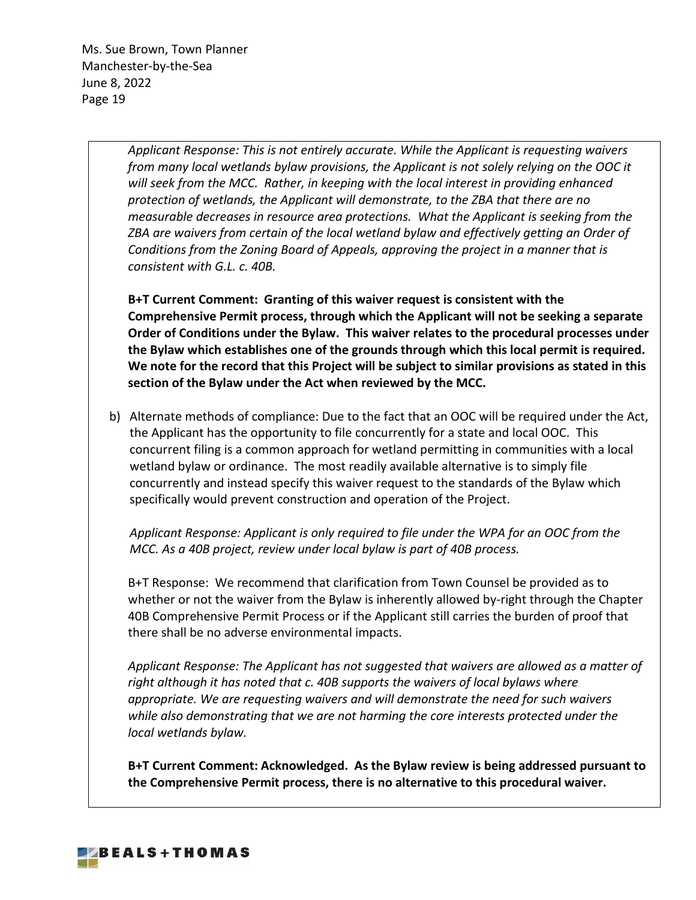> *Applicant Response: This is not entirely accurate. While the Applicant is requesting waivers from many local wetlands bylaw provisions, the Applicant is not solely relying on the OOC it will seek from the MCC. Rather, in keeping with the local interest in providing enhanced protection of wetlands, the Applicant will demonstrate, to the ZBA that there are no measurable decreases in resource area protections. What the Applicant is seeking from the ZBA are waivers from certain of the local wetland bylaw and effectively getting an Order of Conditions from the Zoning Board of Appeals, approving the project in a manner that is consistent with G.L. c. 40B.*

**B+T Current Comment: Granting of this waiver request is consistent with the Comprehensive Permit process, through which the Applicant will not be seeking a separate Order of Conditions under the Bylaw. This waiver relates to the procedural processes under the Bylaw which establishes one of the grounds through which this local permit is required. We note for the record that this Project will be subject to similar provisions as stated in this section of the Bylaw under the Act when reviewed by the MCC.** 

b) Alternate methods of compliance: Due to the fact that an OOC will be required under the Act, the Applicant has the opportunity to file concurrently for a state and local OOC. This concurrent filing is a common approach for wetland permitting in communities with a local wetland bylaw or ordinance. The most readily available alternative is to simply file concurrently and instead specify this waiver request to the standards of the Bylaw which specifically would prevent construction and operation of the Project.

*Applicant Response: Applicant is only required to file under the WPA for an OOC from the MCC. As a 40B project, review under local bylaw is part of 40B process.*

B+T Response: We recommend that clarification from Town Counsel be provided as to whether or not the waiver from the Bylaw is inherently allowed by-right through the Chapter 40B Comprehensive Permit Process or if the Applicant still carries the burden of proof that there shall be no adverse environmental impacts.

*Applicant Response: The Applicant has not suggested that waivers are allowed as a matter of right although it has noted that c. 40B supports the waivers of local bylaws where appropriate. We are requesting waivers and will demonstrate the need for such waivers while also demonstrating that we are not harming the core interests protected under the local wetlands bylaw.*

**B+T Current Comment: Acknowledged. As the Bylaw review is being addressed pursuant to the Comprehensive Permit process, there is no alternative to this procedural waiver.** 

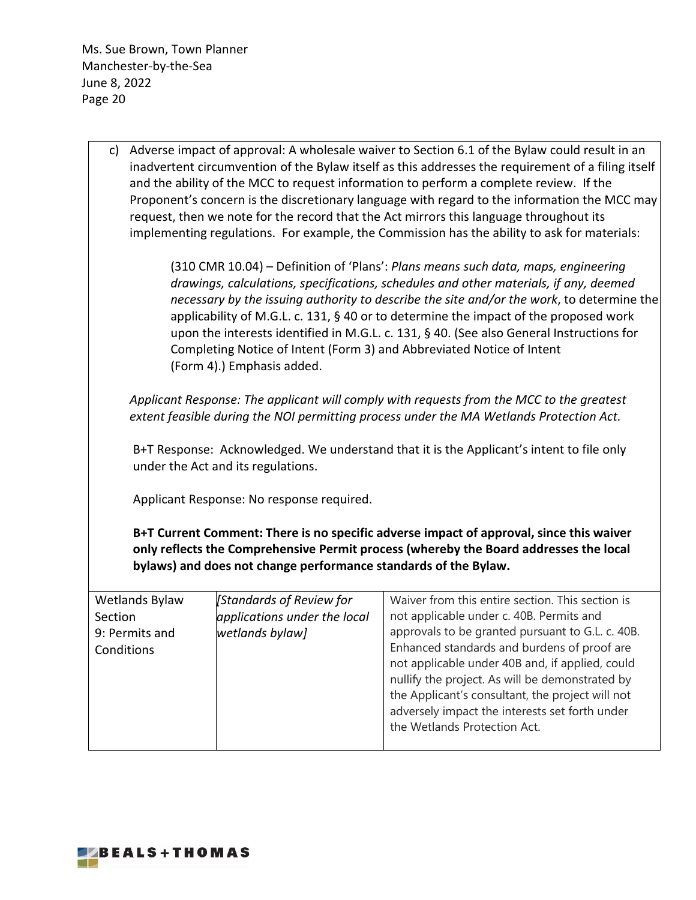| c) Adverse impact of approval: A wholesale waiver to Section 6.1 of the Bylaw could result in an<br>inadvertent circumvention of the Bylaw itself as this addresses the requirement of a filing itself<br>and the ability of the MCC to request information to perform a complete review. If the<br>Proponent's concern is the discretionary language with regard to the information the MCC may<br>request, then we note for the record that the Act mirrors this language throughout its<br>implementing regulations. For example, the Commission has the ability to ask for materials: |                                                                 |                                                                                                                                                                                                                                                                                         |  |
|-------------------------------------------------------------------------------------------------------------------------------------------------------------------------------------------------------------------------------------------------------------------------------------------------------------------------------------------------------------------------------------------------------------------------------------------------------------------------------------------------------------------------------------------------------------------------------------------|-----------------------------------------------------------------|-----------------------------------------------------------------------------------------------------------------------------------------------------------------------------------------------------------------------------------------------------------------------------------------|--|
| (310 CMR 10.04) – Definition of 'Plans': Plans means such data, maps, engineering<br>drawings, calculations, specifications, schedules and other materials, if any, deemed<br>necessary by the issuing authority to describe the site and/or the work, to determine the<br>applicability of M.G.L. c. 131, § 40 or to determine the impact of the proposed work<br>upon the interests identified in M.G.L. c. 131, § 40. (See also General Instructions for<br>Completing Notice of Intent (Form 3) and Abbreviated Notice of Intent<br>(Form 4).) Emphasis added.                        |                                                                 |                                                                                                                                                                                                                                                                                         |  |
|                                                                                                                                                                                                                                                                                                                                                                                                                                                                                                                                                                                           |                                                                 | Applicant Response: The applicant will comply with requests from the MCC to the greatest<br>extent feasible during the NOI permitting process under the MA Wetlands Protection Act.                                                                                                     |  |
|                                                                                                                                                                                                                                                                                                                                                                                                                                                                                                                                                                                           | under the Act and its regulations.                              | B+T Response: Acknowledged. We understand that it is the Applicant's intent to file only                                                                                                                                                                                                |  |
|                                                                                                                                                                                                                                                                                                                                                                                                                                                                                                                                                                                           | Applicant Response: No response required.                       |                                                                                                                                                                                                                                                                                         |  |
|                                                                                                                                                                                                                                                                                                                                                                                                                                                                                                                                                                                           | bylaws) and does not change performance standards of the Bylaw. | B+T Current Comment: There is no specific adverse impact of approval, since this waiver<br>only reflects the Comprehensive Permit process (whereby the Board addresses the local                                                                                                        |  |
| <b>Wetlands Bylaw</b>                                                                                                                                                                                                                                                                                                                                                                                                                                                                                                                                                                     | [Standards of Review for                                        | Waiver from this entire section. This section is                                                                                                                                                                                                                                        |  |
| Section<br>9: Permits and                                                                                                                                                                                                                                                                                                                                                                                                                                                                                                                                                                 | applications under the local<br>wetlands bylaw]                 | not applicable under c. 40B. Permits and<br>approvals to be granted pursuant to G.L. c. 40B.                                                                                                                                                                                            |  |
| Conditions                                                                                                                                                                                                                                                                                                                                                                                                                                                                                                                                                                                |                                                                 | Enhanced standards and burdens of proof are<br>not applicable under 40B and, if applied, could<br>nullify the project. As will be demonstrated by<br>the Applicant's consultant, the project will not<br>adversely impact the interests set forth under<br>the Wetlands Protection Act. |  |

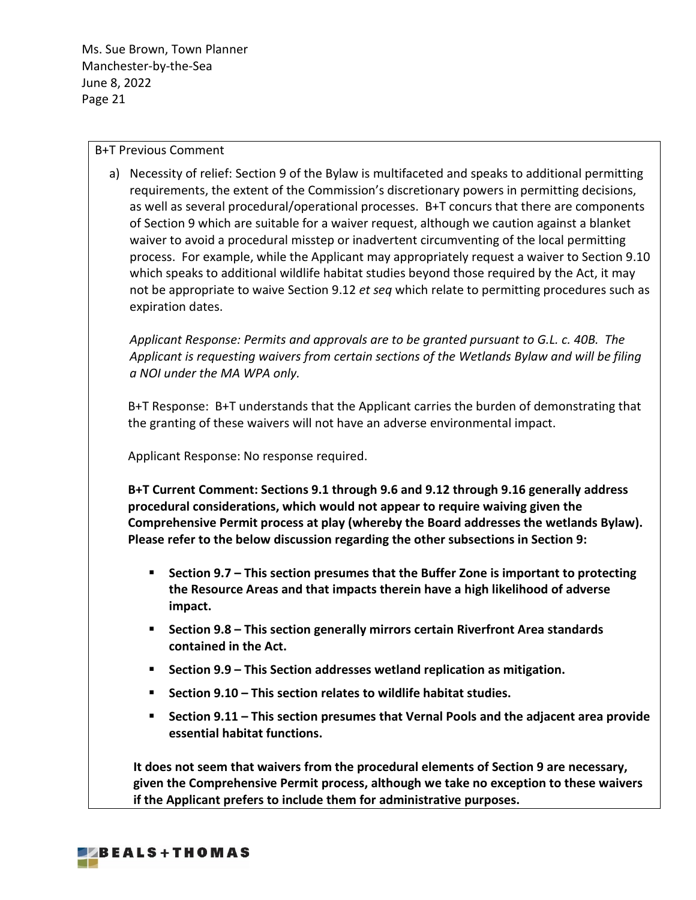### B+T Previous Comment

a) Necessity of relief: Section 9 of the Bylaw is multifaceted and speaks to additional permitting requirements, the extent of the Commission's discretionary powers in permitting decisions, as well as several procedural/operational processes. B+T concurs that there are components of Section 9 which are suitable for a waiver request, although we caution against a blanket waiver to avoid a procedural misstep or inadvertent circumventing of the local permitting process. For example, while the Applicant may appropriately request a waiver to Section 9.10 which speaks to additional wildlife habitat studies beyond those required by the Act, it may not be appropriate to waive Section 9.12 *et seq* which relate to permitting procedures such as expiration dates.

*Applicant Response: Permits and approvals are to be granted pursuant to G.L. c. 40B. The Applicant is requesting waivers from certain sections of the Wetlands Bylaw and will be filing a NOI under the MA WPA only.*

B+T Response: B+T understands that the Applicant carries the burden of demonstrating that the granting of these waivers will not have an adverse environmental impact.

Applicant Response: No response required.

**B+T Current Comment: Sections 9.1 through 9.6 and 9.12 through 9.16 generally address procedural considerations, which would not appear to require waiving given the Comprehensive Permit process at play (whereby the Board addresses the wetlands Bylaw). Please refer to the below discussion regarding the other subsections in Section 9:**

- **Section 9.7 – This section presumes that the Buffer Zone is important to protecting the Resource Areas and that impacts therein have a high likelihood of adverse impact.**
- **Section 9.8 – This section generally mirrors certain Riverfront Area standards contained in the Act.**
- **Section 9.9 – This Section addresses wetland replication as mitigation.**
- **Section 9.10 – This section relates to wildlife habitat studies.**
- **Section 9.11 – This section presumes that Vernal Pools and the adjacent area provide essential habitat functions.**

**It does not seem that waivers from the procedural elements of Section 9 are necessary, given the Comprehensive Permit process, although we take no exception to these waivers if the Applicant prefers to include them for administrative purposes.**

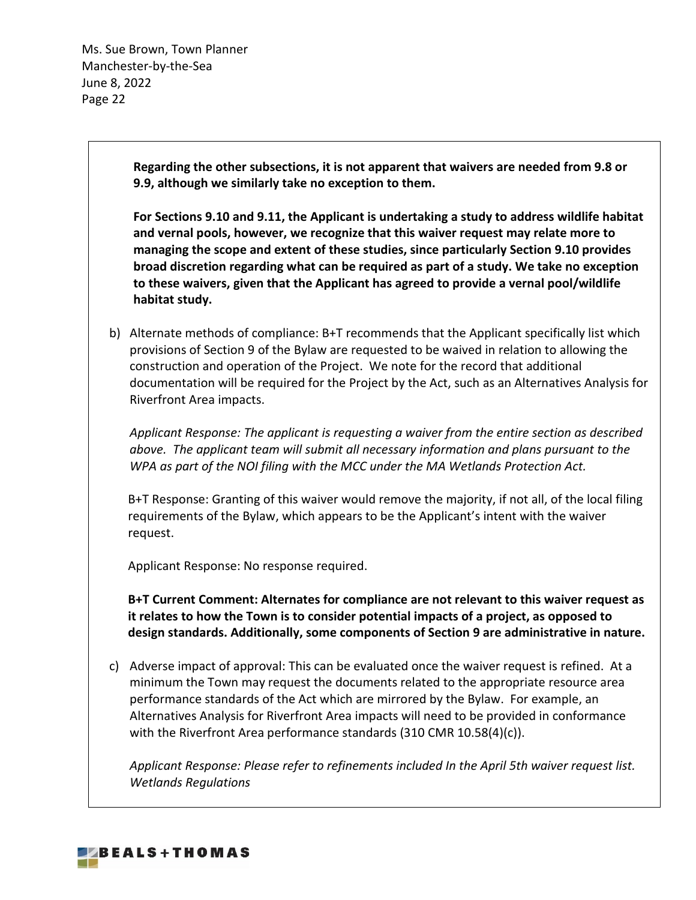> **Regarding the other subsections, it is not apparent that waivers are needed from 9.8 or 9.9, although we similarly take no exception to them.**

**For Sections 9.10 and 9.11, the Applicant is undertaking a study to address wildlife habitat and vernal pools, however, we recognize that this waiver request may relate more to managing the scope and extent of these studies, since particularly Section 9.10 provides broad discretion regarding what can be required as part of a study. We take no exception to these waivers, given that the Applicant has agreed to provide a vernal pool/wildlife habitat study.** 

b) Alternate methods of compliance: B+T recommends that the Applicant specifically list which provisions of Section 9 of the Bylaw are requested to be waived in relation to allowing the construction and operation of the Project. We note for the record that additional documentation will be required for the Project by the Act, such as an Alternatives Analysis for Riverfront Area impacts.

*Applicant Response: The applicant is requesting a waiver from the entire section as described above. The applicant team will submit all necessary information and plans pursuant to the WPA as part of the NOI filing with the MCC under the MA Wetlands Protection Act.*

B+T Response: Granting of this waiver would remove the majority, if not all, of the local filing requirements of the Bylaw, which appears to be the Applicant's intent with the waiver request.

Applicant Response: No response required.

**B+T Current Comment: Alternates for compliance are not relevant to this waiver request as it relates to how the Town is to consider potential impacts of a project, as opposed to design standards. Additionally, some components of Section 9 are administrative in nature.** 

c) Adverse impact of approval: This can be evaluated once the waiver request is refined. At a minimum the Town may request the documents related to the appropriate resource area performance standards of the Act which are mirrored by the Bylaw. For example, an Alternatives Analysis for Riverfront Area impacts will need to be provided in conformance with the Riverfront Area performance standards (310 CMR 10.58(4)(c)).

*Applicant Response: Please refer to refinements included In the April 5th waiver request list. Wetlands Regulations*

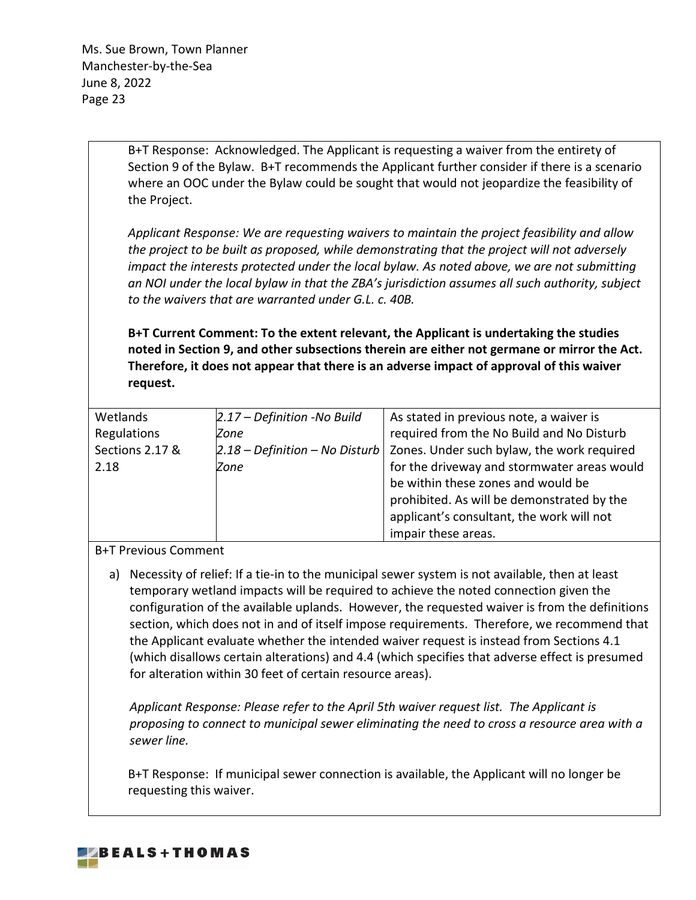> B+T Response: Acknowledged. The Applicant is requesting a waiver from the entirety of Section 9 of the Bylaw. B+T recommends the Applicant further consider if there is a scenario where an OOC under the Bylaw could be sought that would not jeopardize the feasibility of the Project.

> *Applicant Response: We are requesting waivers to maintain the project feasibility and allow the project to be built as proposed, while demonstrating that the project will not adversely impact the interests protected under the local bylaw. As noted above, we are not submitting an NOI under the local bylaw in that the ZBA's jurisdiction assumes all such authority, subject to the waivers that are warranted under G.L. c. 40B.*

> **B+T Current Comment: To the extent relevant, the Applicant is undertaking the studies noted in Section 9, and other subsections therein are either not germane or mirror the Act. Therefore, it does not appear that there is an adverse impact of approval of this waiver request.**

| Wetlands        | $2.17$ – Definition -No Build | As stated in previous note, a waiver is                                             |
|-----------------|-------------------------------|-------------------------------------------------------------------------------------|
| Regulations     | Zone                          | required from the No Build and No Disturb                                           |
| Sections 2.17 & |                               | $\vert$ 2.18 – Definition – No Disturb   Zones. Under such bylaw, the work required |
| 2.18            | Zone                          | for the driveway and stormwater areas would                                         |
|                 |                               | be within these zones and would be                                                  |
|                 |                               | prohibited. As will be demonstrated by the                                          |
|                 |                               | applicant's consultant, the work will not                                           |
|                 |                               | impair these areas.                                                                 |

## B+T Previous Comment

a) Necessity of relief: If a tie-in to the municipal sewer system is not available, then at least temporary wetland impacts will be required to achieve the noted connection given the configuration of the available uplands. However, the requested waiver is from the definitions section, which does not in and of itself impose requirements. Therefore, we recommend that the Applicant evaluate whether the intended waiver request is instead from Sections 4.1 (which disallows certain alterations) and 4.4 (which specifies that adverse effect is presumed for alteration within 30 feet of certain resource areas).

*Applicant Response: Please refer to the April 5th waiver request list. The Applicant is proposing to connect to municipal sewer eliminating the need to cross a resource area with a sewer line.*

B+T Response: If municipal sewer connection is available, the Applicant will no longer be requesting this waiver.

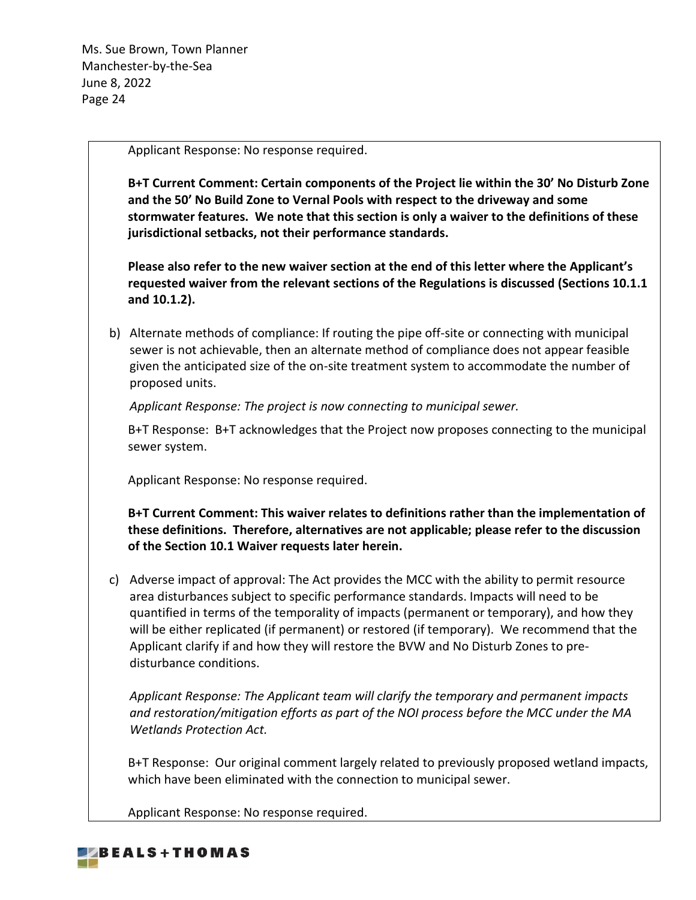Applicant Response: No response required.

**B+T Current Comment: Certain components of the Project lie within the 30' No Disturb Zone and the 50' No Build Zone to Vernal Pools with respect to the driveway and some stormwater features. We note that this section is only a waiver to the definitions of these jurisdictional setbacks, not their performance standards.**

**Please also refer to the new waiver section at the end of this letter where the Applicant's requested waiver from the relevant sections of the Regulations is discussed (Sections 10.1.1 and 10.1.2).**

b) Alternate methods of compliance: If routing the pipe off-site or connecting with municipal sewer is not achievable, then an alternate method of compliance does not appear feasible given the anticipated size of the on-site treatment system to accommodate the number of proposed units.

*Applicant Response: The project is now connecting to municipal sewer.*

B+T Response: B+T acknowledges that the Project now proposes connecting to the municipal sewer system.

Applicant Response: No response required.

**B+T Current Comment: This waiver relates to definitions rather than the implementation of these definitions. Therefore, alternatives are not applicable; please refer to the discussion of the Section 10.1 Waiver requests later herein.**

c) Adverse impact of approval: The Act provides the MCC with the ability to permit resource area disturbances subject to specific performance standards. Impacts will need to be quantified in terms of the temporality of impacts (permanent or temporary), and how they will be either replicated (if permanent) or restored (if temporary). We recommend that the Applicant clarify if and how they will restore the BVW and No Disturb Zones to predisturbance conditions.

*Applicant Response: The Applicant team will clarify the temporary and permanent impacts and restoration/mitigation efforts as part of the NOI process before the MCC under the MA Wetlands Protection Act.*

B+T Response: Our original comment largely related to previously proposed wetland impacts, which have been eliminated with the connection to municipal sewer.

Applicant Response: No response required.

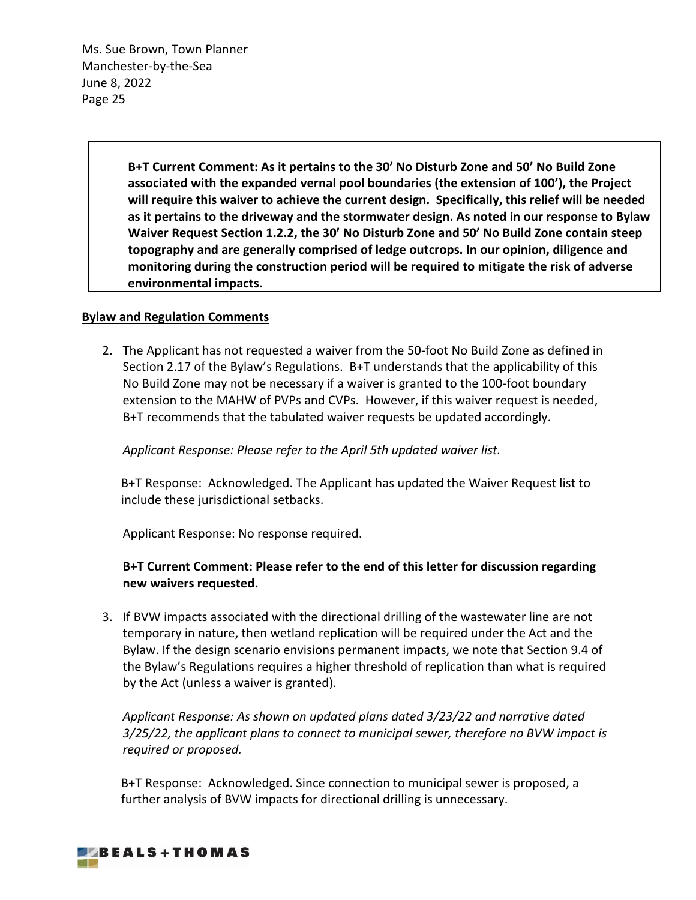> **B+T Current Comment: As it pertains to the 30' No Disturb Zone and 50' No Build Zone associated with the expanded vernal pool boundaries (the extension of 100'), the Project will require this waiver to achieve the current design. Specifically, this relief will be needed as it pertains to the driveway and the stormwater design. As noted in our response to Bylaw Waiver Request Section 1.2.2, the 30' No Disturb Zone and 50' No Build Zone contain steep topography and are generally comprised of ledge outcrops. In our opinion, diligence and monitoring during the construction period will be required to mitigate the risk of adverse environmental impacts.**

### **Bylaw and Regulation Comments**

2. The Applicant has not requested a waiver from the 50-foot No Build Zone as defined in Section 2.17 of the Bylaw's Regulations. B+T understands that the applicability of this No Build Zone may not be necessary if a waiver is granted to the 100-foot boundary extension to the MAHW of PVPs and CVPs. However, if this waiver request is needed, B+T recommends that the tabulated waiver requests be updated accordingly.

*Applicant Response: Please refer to the April 5th updated waiver list.*

B+T Response: Acknowledged. The Applicant has updated the Waiver Request list to include these jurisdictional setbacks.

Applicant Response: No response required.

# **B+T Current Comment: Please refer to the end of this letter for discussion regarding new waivers requested.**

3. If BVW impacts associated with the directional drilling of the wastewater line are not temporary in nature, then wetland replication will be required under the Act and the Bylaw. If the design scenario envisions permanent impacts, we note that Section 9.4 of the Bylaw's Regulations requires a higher threshold of replication than what is required by the Act (unless a waiver is granted).

*Applicant Response: As shown on updated plans dated 3/23/22 and narrative dated 3/25/22, the applicant plans to connect to municipal sewer, therefore no BVW impact is required or proposed.*

B+T Response: Acknowledged. Since connection to municipal sewer is proposed, a further analysis of BVW impacts for directional drilling is unnecessary.

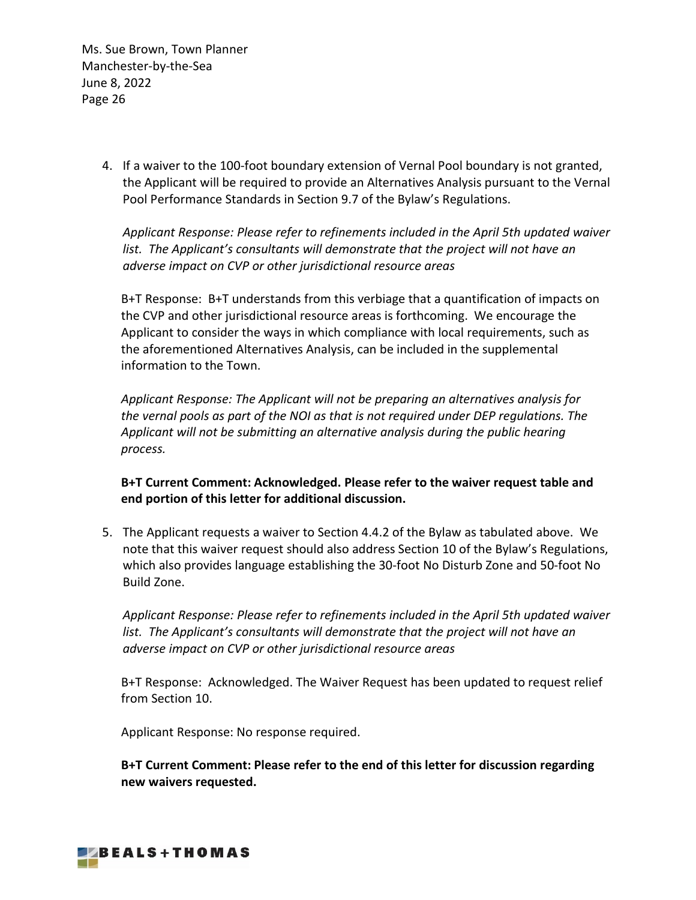> 4. If a waiver to the 100-foot boundary extension of Vernal Pool boundary is not granted, the Applicant will be required to provide an Alternatives Analysis pursuant to the Vernal Pool Performance Standards in Section 9.7 of the Bylaw's Regulations.

*Applicant Response: Please refer to refinements included in the April 5th updated waiver list. The Applicant's consultants will demonstrate that the project will not have an adverse impact on CVP or other jurisdictional resource areas*

B+T Response: B+T understands from this verbiage that a quantification of impacts on the CVP and other jurisdictional resource areas is forthcoming. We encourage the Applicant to consider the ways in which compliance with local requirements, such as the aforementioned Alternatives Analysis, can be included in the supplemental information to the Town.

*Applicant Response: The Applicant will not be preparing an alternatives analysis for the vernal pools as part of the NOI as that is not required under DEP regulations. The Applicant will not be submitting an alternative analysis during the public hearing process.*

**B+T Current Comment: Acknowledged. Please refer to the waiver request table and end portion of this letter for additional discussion.**

5. The Applicant requests a waiver to Section 4.4.2 of the Bylaw as tabulated above. We note that this waiver request should also address Section 10 of the Bylaw's Regulations, which also provides language establishing the 30-foot No Disturb Zone and 50-foot No Build Zone.

*Applicant Response: Please refer to refinements included in the April 5th updated waiver*  list. The Applicant's consultants will demonstrate that the project will not have an *adverse impact on CVP or other jurisdictional resource areas*

B+T Response: Acknowledged. The Waiver Request has been updated to request relief from Section 10.

Applicant Response: No response required.

**B+T Current Comment: Please refer to the end of this letter for discussion regarding new waivers requested.**

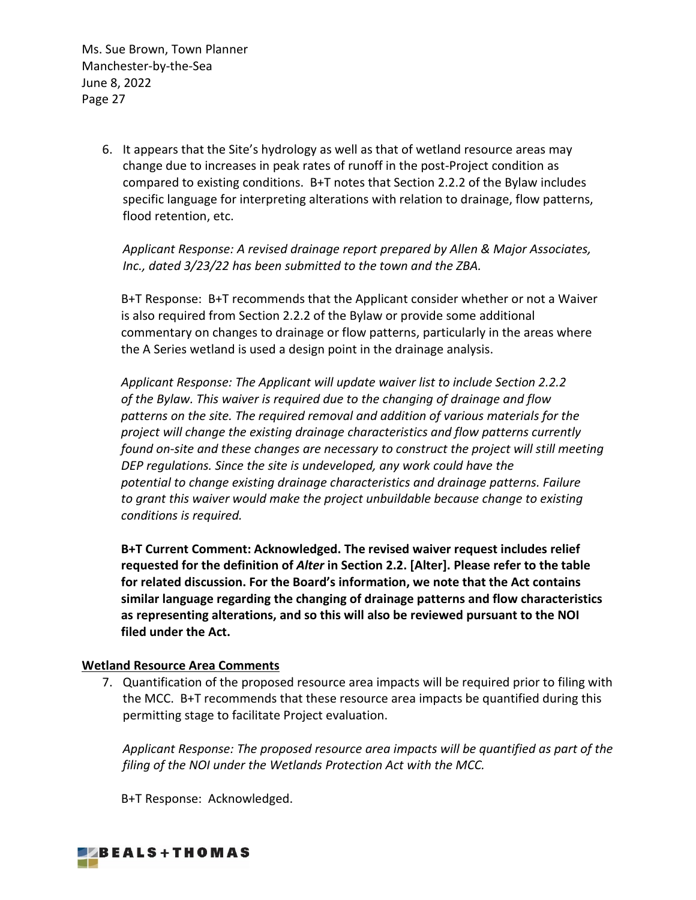> 6. It appears that the Site's hydrology as well as that of wetland resource areas may change due to increases in peak rates of runoff in the post-Project condition as compared to existing conditions. B+T notes that Section 2.2.2 of the Bylaw includes specific language for interpreting alterations with relation to drainage, flow patterns, flood retention, etc.

*Applicant Response: A revised drainage report prepared by Allen & Major Associates, Inc., dated 3/23/22 has been submitted to the town and the ZBA.*

B+T Response: B+T recommends that the Applicant consider whether or not a Waiver is also required from Section 2.2.2 of the Bylaw or provide some additional commentary on changes to drainage or flow patterns, particularly in the areas where the A Series wetland is used a design point in the drainage analysis.

*Applicant Response: The Applicant will update waiver list to include Section 2.2.2 of the Bylaw. This waiver is required due to the changing of drainage and flow patterns on the site. The required removal and addition of various materials for the project will change the existing drainage characteristics and flow patterns currently found on-site and these changes are necessary to construct the project will still meeting DEP regulations. Since the site is undeveloped, any work could have the potential to change existing drainage characteristics and drainage patterns. Failure to grant this waiver would make the project unbuildable because change to existing conditions is required.*

**B+T Current Comment: Acknowledged. The revised waiver request includes relief requested for the definition of** *Alter* **in Section 2.2. [Alter]. Please refer to the table for related discussion. For the Board's information, we note that the Act contains similar language regarding the changing of drainage patterns and flow characteristics as representing alterations, and so this will also be reviewed pursuant to the NOI filed under the Act.** 

## **Wetland Resource Area Comments**

7. Quantification of the proposed resource area impacts will be required prior to filing with the MCC. B+T recommends that these resource area impacts be quantified during this permitting stage to facilitate Project evaluation.

*Applicant Response: The proposed resource area impacts will be quantified as part of the filing of the NOI under the Wetlands Protection Act with the MCC.*

B+T Response: Acknowledged.

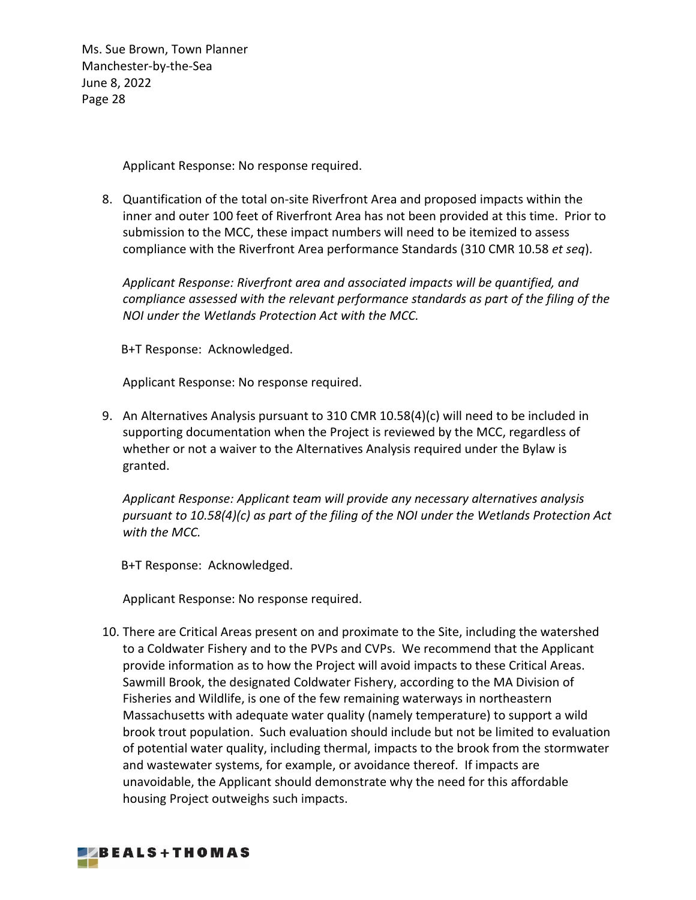Applicant Response: No response required.

8. Quantification of the total on-site Riverfront Area and proposed impacts within the inner and outer 100 feet of Riverfront Area has not been provided at this time. Prior to submission to the MCC, these impact numbers will need to be itemized to assess compliance with the Riverfront Area performance Standards (310 CMR 10.58 *et seq*).

*Applicant Response: Riverfront area and associated impacts will be quantified, and compliance assessed with the relevant performance standards as part of the filing of the NOI under the Wetlands Protection Act with the MCC.*

B+T Response: Acknowledged.

Applicant Response: No response required.

9. An Alternatives Analysis pursuant to 310 CMR 10.58(4)(c) will need to be included in supporting documentation when the Project is reviewed by the MCC, regardless of whether or not a waiver to the Alternatives Analysis required under the Bylaw is granted.

*Applicant Response: Applicant team will provide any necessary alternatives analysis pursuant to 10.58(4)(c) as part of the filing of the NOI under the Wetlands Protection Act with the MCC.*

B+T Response: Acknowledged.

Applicant Response: No response required.

10. There are Critical Areas present on and proximate to the Site, including the watershed to a Coldwater Fishery and to the PVPs and CVPs. We recommend that the Applicant provide information as to how the Project will avoid impacts to these Critical Areas. Sawmill Brook, the designated Coldwater Fishery, according to the MA Division of Fisheries and Wildlife, is one of the few remaining waterways in northeastern Massachusetts with adequate water quality (namely temperature) to support a wild brook trout population. Such evaluation should include but not be limited to evaluation of potential water quality, including thermal, impacts to the brook from the stormwater and wastewater systems, for example, or avoidance thereof. If impacts are unavoidable, the Applicant should demonstrate why the need for this affordable housing Project outweighs such impacts.

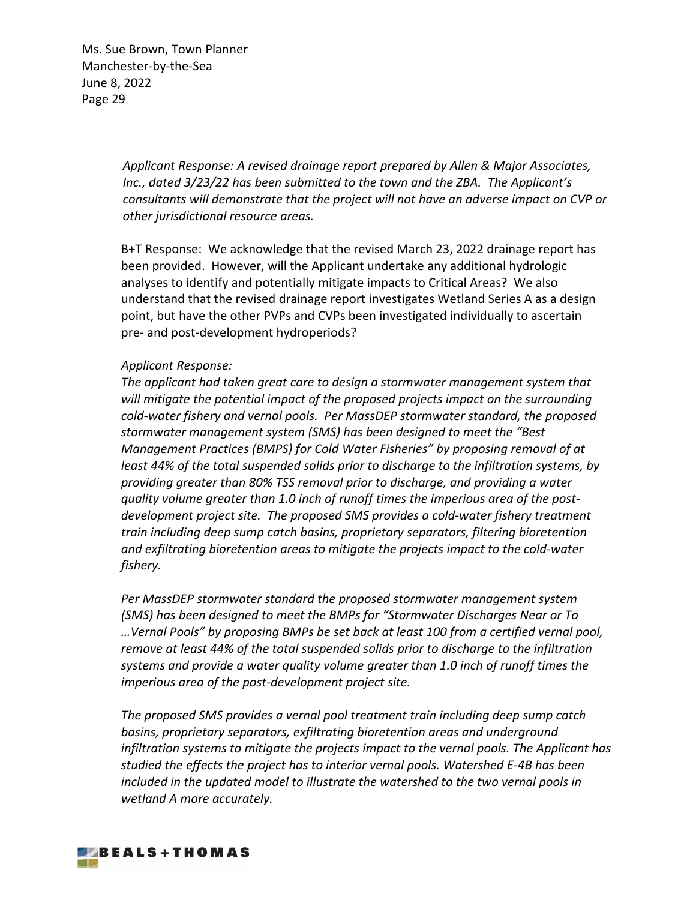> *Applicant Response: A revised drainage report prepared by Allen & Major Associates, Inc., dated 3/23/22 has been submitted to the town and the ZBA. The Applicant's consultants will demonstrate that the project will not have an adverse impact on CVP or other jurisdictional resource areas.*

B+T Response: We acknowledge that the revised March 23, 2022 drainage report has been provided. However, will the Applicant undertake any additional hydrologic analyses to identify and potentially mitigate impacts to Critical Areas? We also understand that the revised drainage report investigates Wetland Series A as a design point, but have the other PVPs and CVPs been investigated individually to ascertain pre- and post-development hydroperiods?

#### *Applicant Response:*

*The applicant had taken great care to design a stormwater management system that will mitigate the potential impact of the proposed projects impact on the surrounding cold-water fishery and vernal pools. Per MassDEP stormwater standard, the proposed stormwater management system (SMS) has been designed to meet the "Best Management Practices (BMPS) for Cold Water Fisheries" by proposing removal of at least 44% of the total suspended solids prior to discharge to the infiltration systems, by providing greater than 80% TSS removal prior to discharge, and providing a water quality volume greater than 1.0 inch of runoff times the imperious area of the postdevelopment project site. The proposed SMS provides a cold-water fishery treatment train including deep sump catch basins, proprietary separators, filtering bioretention and exfiltrating bioretention areas to mitigate the projects impact to the cold-water fishery.*

*Per MassDEP stormwater standard the proposed stormwater management system (SMS) has been designed to meet the BMPs for "Stormwater Discharges Near or To …Vernal Pools" by proposing BMPs be set back at least 100 from a certified vernal pool, remove at least 44% of the total suspended solids prior to discharge to the infiltration systems and provide a water quality volume greater than 1.0 inch of runoff times the imperious area of the post-development project site.*

*The proposed SMS provides a vernal pool treatment train including deep sump catch basins, proprietary separators, exfiltrating bioretention areas and underground infiltration systems to mitigate the projects impact to the vernal pools. The Applicant has studied the effects the project has to interior vernal pools. Watershed E-4B has been included in the updated model to illustrate the watershed to the two vernal pools in wetland A more accurately.* 

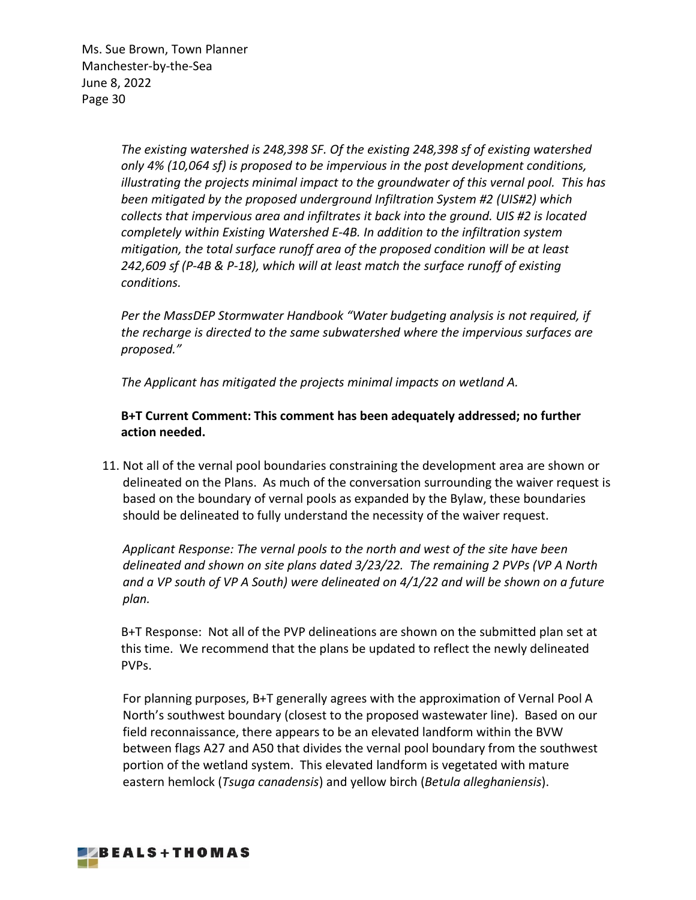> *The existing watershed is 248,398 SF. Of the existing 248,398 sf of existing watershed only 4% (10,064 sf) is proposed to be impervious in the post development conditions, illustrating the projects minimal impact to the groundwater of this vernal pool. This has been mitigated by the proposed underground Infiltration System #2 (UIS#2) which collects that impervious area and infiltrates it back into the ground. UIS #2 is located completely within Existing Watershed E-4B. In addition to the infiltration system mitigation, the total surface runoff area of the proposed condition will be at least 242,609 sf (P-4B & P-18), which will at least match the surface runoff of existing conditions.*

*Per the MassDEP Stormwater Handbook "Water budgeting analysis is not required, if the recharge is directed to the same subwatershed where the impervious surfaces are proposed."*

*The Applicant has mitigated the projects minimal impacts on wetland A.*

# **B+T Current Comment: This comment has been adequately addressed; no further action needed.**

11. Not all of the vernal pool boundaries constraining the development area are shown or delineated on the Plans. As much of the conversation surrounding the waiver request is based on the boundary of vernal pools as expanded by the Bylaw, these boundaries should be delineated to fully understand the necessity of the waiver request.

*Applicant Response: The vernal pools to the north and west of the site have been delineated and shown on site plans dated 3/23/22. The remaining 2 PVPs (VP A North and a VP south of VP A South) were delineated on 4/1/22 and will be shown on a future plan.*

B+T Response: Not all of the PVP delineations are shown on the submitted plan set at this time. We recommend that the plans be updated to reflect the newly delineated PVPs.

For planning purposes, B+T generally agrees with the approximation of Vernal Pool A North's southwest boundary (closest to the proposed wastewater line). Based on our field reconnaissance, there appears to be an elevated landform within the BVW between flags A27 and A50 that divides the vernal pool boundary from the southwest portion of the wetland system. This elevated landform is vegetated with mature eastern hemlock (*Tsuga canadensis*) and yellow birch (*Betula alleghaniensis*).

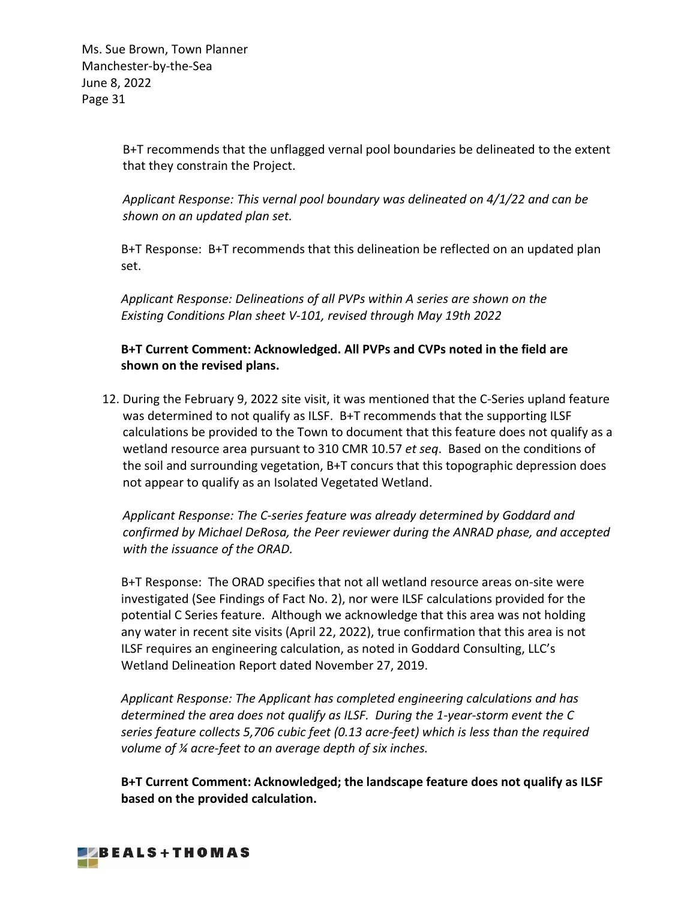B+T recommends that the unflagged vernal pool boundaries be delineated to the extent that they constrain the Project.

*Applicant Response: This vernal pool boundary was delineated on 4/1/22 and can be shown on an updated plan set.*

B+T Response: B+T recommends that this delineation be reflected on an updated plan set.

*Applicant Response: Delineations of all PVPs within A series are shown on the Existing Conditions Plan sheet V-101, revised through May 19th 2022*

# **B+T Current Comment: Acknowledged. All PVPs and CVPs noted in the field are shown on the revised plans.**

12. During the February 9, 2022 site visit, it was mentioned that the C-Series upland feature was determined to not qualify as ILSF. B+T recommends that the supporting ILSF calculations be provided to the Town to document that this feature does not qualify as a wetland resource area pursuant to 310 CMR 10.57 *et seq*. Based on the conditions of the soil and surrounding vegetation, B+T concurs that this topographic depression does not appear to qualify as an Isolated Vegetated Wetland.

*Applicant Response: The C-series feature was already determined by Goddard and confirmed by Michael DeRosa, the Peer reviewer during the ANRAD phase, and accepted with the issuance of the ORAD.*

B+T Response: The ORAD specifies that not all wetland resource areas on-site were investigated (See Findings of Fact No. 2), nor were ILSF calculations provided for the potential C Series feature. Although we acknowledge that this area was not holding any water in recent site visits (April 22, 2022), true confirmation that this area is not ILSF requires an engineering calculation, as noted in Goddard Consulting, LLC's Wetland Delineation Report dated November 27, 2019.

*Applicant Response: The Applicant has completed engineering calculations and has determined the area does not qualify as ILSF. During the 1-year-storm event the C series feature collects 5,706 cubic feet (0.13 acre-feet) which is less than the required volume of ¼ acre-feet to an average depth of six inches.*

**B+T Current Comment: Acknowledged; the landscape feature does not qualify as ILSF based on the provided calculation.** 

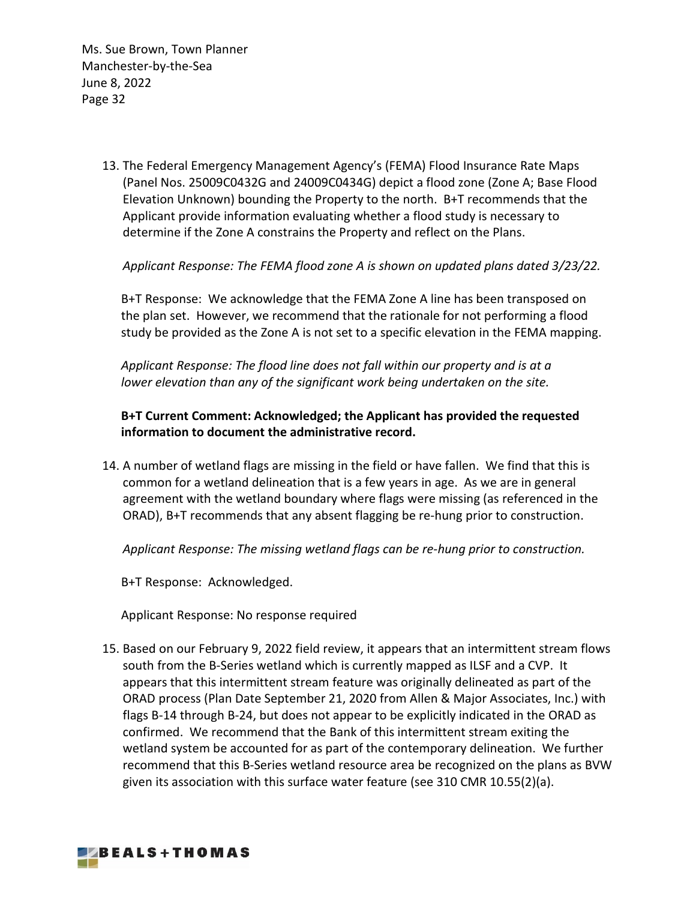> 13. The Federal Emergency Management Agency's (FEMA) Flood Insurance Rate Maps (Panel Nos. 25009C0432G and 24009C0434G) depict a flood zone (Zone A; Base Flood Elevation Unknown) bounding the Property to the north. B+T recommends that the Applicant provide information evaluating whether a flood study is necessary to determine if the Zone A constrains the Property and reflect on the Plans.

*Applicant Response: The FEMA flood zone A is shown on updated plans dated 3/23/22.*

B+T Response: We acknowledge that the FEMA Zone A line has been transposed on the plan set. However, we recommend that the rationale for not performing a flood study be provided as the Zone A is not set to a specific elevation in the FEMA mapping.

*Applicant Response: The flood line does not fall within our property and is at a lower elevation than any of the significant work being undertaken on the site.*

# **B+T Current Comment: Acknowledged; the Applicant has provided the requested information to document the administrative record.**

14. A number of wetland flags are missing in the field or have fallen. We find that this is common for a wetland delineation that is a few years in age. As we are in general agreement with the wetland boundary where flags were missing (as referenced in the ORAD), B+T recommends that any absent flagging be re-hung prior to construction.

*Applicant Response: The missing wetland flags can be re-hung prior to construction.*

B+T Response: Acknowledged.

Applicant Response: No response required

15. Based on our February 9, 2022 field review, it appears that an intermittent stream flows south from the B-Series wetland which is currently mapped as ILSF and a CVP. It appears that this intermittent stream feature was originally delineated as part of the ORAD process (Plan Date September 21, 2020 from Allen & Major Associates, Inc.) with flags B-14 through B-24, but does not appear to be explicitly indicated in the ORAD as confirmed. We recommend that the Bank of this intermittent stream exiting the wetland system be accounted for as part of the contemporary delineation. We further recommend that this B-Series wetland resource area be recognized on the plans as BVW given its association with this surface water feature (see 310 CMR 10.55(2)(a).

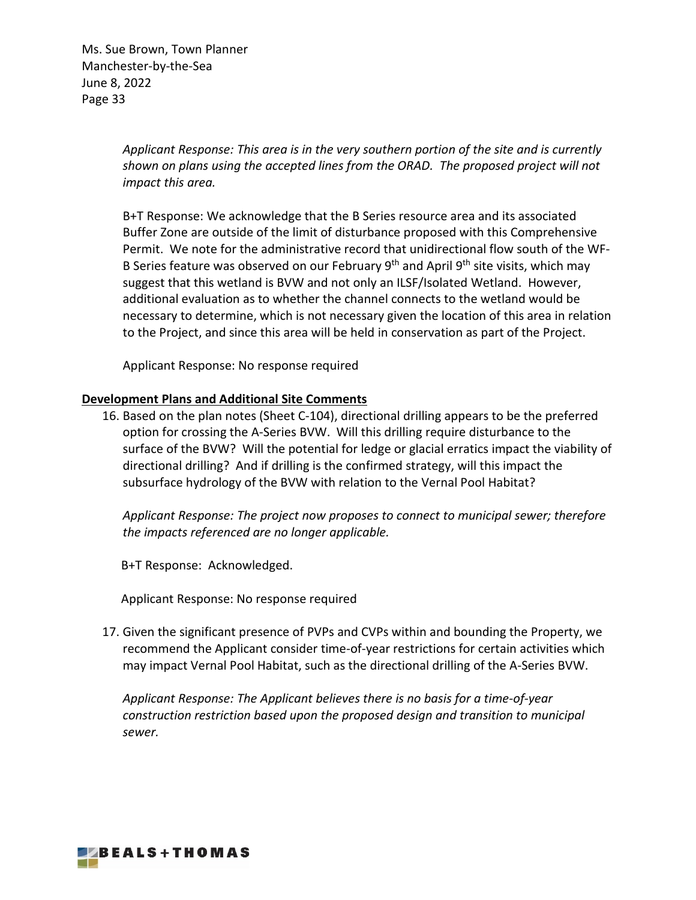> *Applicant Response: This area is in the very southern portion of the site and is currently shown on plans using the accepted lines from the ORAD. The proposed project will not impact this area.*

B+T Response: We acknowledge that the B Series resource area and its associated Buffer Zone are outside of the limit of disturbance proposed with this Comprehensive Permit. We note for the administrative record that unidirectional flow south of the WF-B Series feature was observed on our February 9<sup>th</sup> and April 9<sup>th</sup> site visits, which may suggest that this wetland is BVW and not only an ILSF/Isolated Wetland. However, additional evaluation as to whether the channel connects to the wetland would be necessary to determine, which is not necessary given the location of this area in relation to the Project, and since this area will be held in conservation as part of the Project.

Applicant Response: No response required

### **Development Plans and Additional Site Comments**

16. Based on the plan notes (Sheet C-104), directional drilling appears to be the preferred option for crossing the A-Series BVW. Will this drilling require disturbance to the surface of the BVW? Will the potential for ledge or glacial erratics impact the viability of directional drilling? And if drilling is the confirmed strategy, will this impact the subsurface hydrology of the BVW with relation to the Vernal Pool Habitat?

*Applicant Response: The project now proposes to connect to municipal sewer; therefore the impacts referenced are no longer applicable.*

B+T Response: Acknowledged.

Applicant Response: No response required

17. Given the significant presence of PVPs and CVPs within and bounding the Property, we recommend the Applicant consider time-of-year restrictions for certain activities which may impact Vernal Pool Habitat, such as the directional drilling of the A-Series BVW.

*Applicant Response: The Applicant believes there is no basis for a time-of-year construction restriction based upon the proposed design and transition to municipal sewer.*

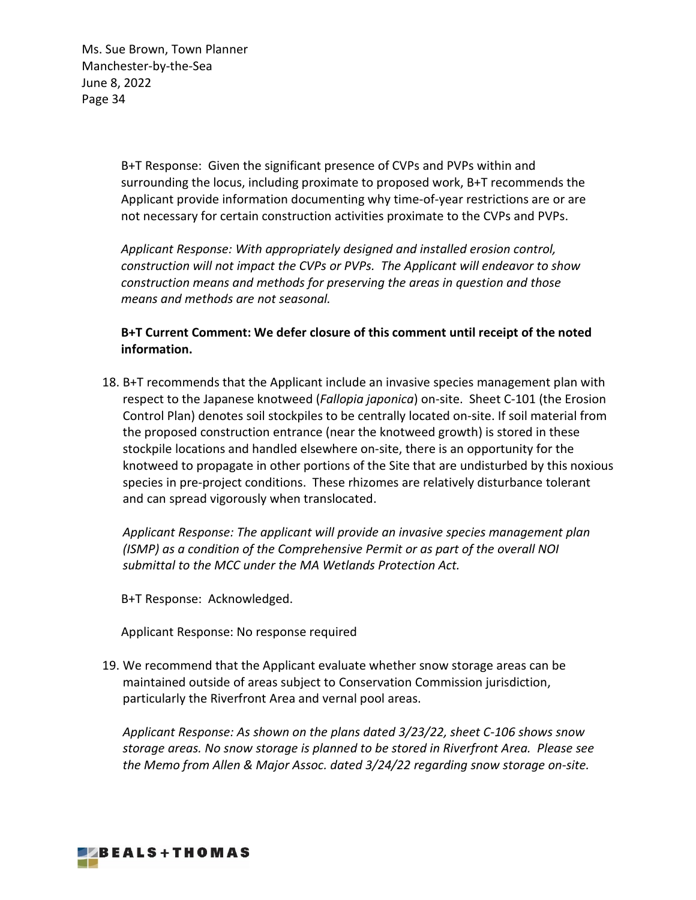> B+T Response: Given the significant presence of CVPs and PVPs within and surrounding the locus, including proximate to proposed work, B+T recommends the Applicant provide information documenting why time-of-year restrictions are or are not necessary for certain construction activities proximate to the CVPs and PVPs.

*Applicant Response: With appropriately designed and installed erosion control, construction will not impact the CVPs or PVPs. The Applicant will endeavor to show construction means and methods for preserving the areas in question and those means and methods are not seasonal.*

**B+T Current Comment: We defer closure of this comment until receipt of the noted information.**

18. B+T recommends that the Applicant include an invasive species management plan with respect to the Japanese knotweed (*Fallopia japonica*) on-site. Sheet C-101 (the Erosion Control Plan) denotes soil stockpiles to be centrally located on-site. If soil material from the proposed construction entrance (near the knotweed growth) is stored in these stockpile locations and handled elsewhere on-site, there is an opportunity for the knotweed to propagate in other portions of the Site that are undisturbed by this noxious species in pre-project conditions. These rhizomes are relatively disturbance tolerant and can spread vigorously when translocated.

*Applicant Response: The applicant will provide an invasive species management plan (ISMP) as a condition of the Comprehensive Permit or as part of the overall NOI submittal to the MCC under the MA Wetlands Protection Act.*

B+T Response: Acknowledged.

Applicant Response: No response required

19. We recommend that the Applicant evaluate whether snow storage areas can be maintained outside of areas subject to Conservation Commission jurisdiction, particularly the Riverfront Area and vernal pool areas.

*Applicant Response: As shown on the plans dated 3/23/22, sheet C-106 shows snow storage areas. No snow storage is planned to be stored in Riverfront Area. Please see the Memo from Allen & Major Assoc. dated 3/24/22 regarding snow storage on-site.*

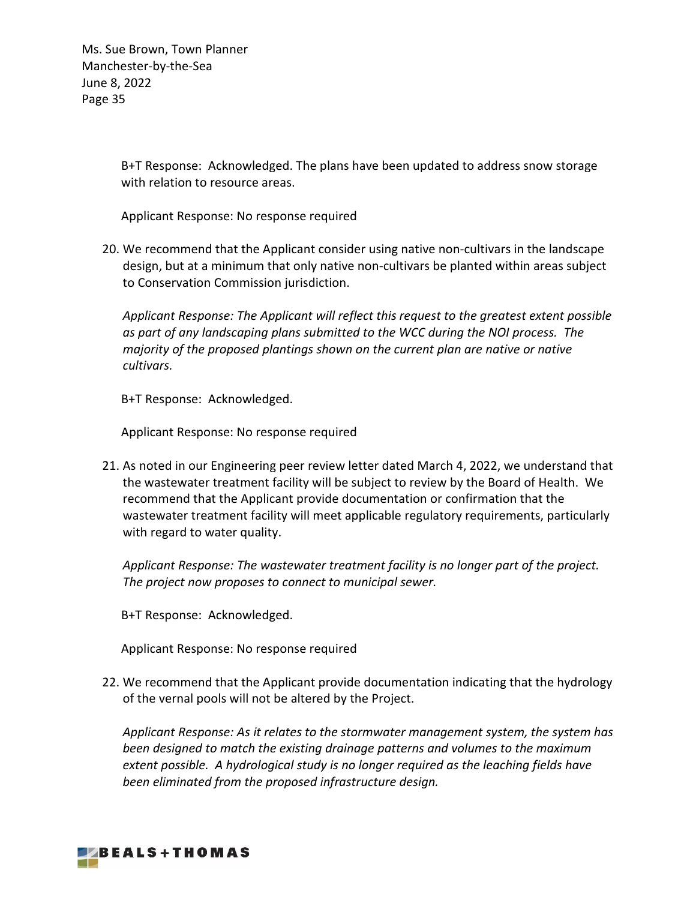> B+T Response: Acknowledged. The plans have been updated to address snow storage with relation to resource areas.

Applicant Response: No response required

20. We recommend that the Applicant consider using native non-cultivars in the landscape design, but at a minimum that only native non-cultivars be planted within areas subject to Conservation Commission jurisdiction.

*Applicant Response: The Applicant will reflect this request to the greatest extent possible as part of any landscaping plans submitted to the WCC during the NOI process. The majority of the proposed plantings shown on the current plan are native or native cultivars.*

B+T Response: Acknowledged.

Applicant Response: No response required

21. As noted in our Engineering peer review letter dated March 4, 2022, we understand that the wastewater treatment facility will be subject to review by the Board of Health. We recommend that the Applicant provide documentation or confirmation that the wastewater treatment facility will meet applicable regulatory requirements, particularly with regard to water quality.

*Applicant Response: The wastewater treatment facility is no longer part of the project. The project now proposes to connect to municipal sewer.*

B+T Response: Acknowledged.

Applicant Response: No response required

22. We recommend that the Applicant provide documentation indicating that the hydrology of the vernal pools will not be altered by the Project.

*Applicant Response: As it relates to the stormwater management system, the system has been designed to match the existing drainage patterns and volumes to the maximum extent possible. A hydrological study is no longer required as the leaching fields have been eliminated from the proposed infrastructure design.*

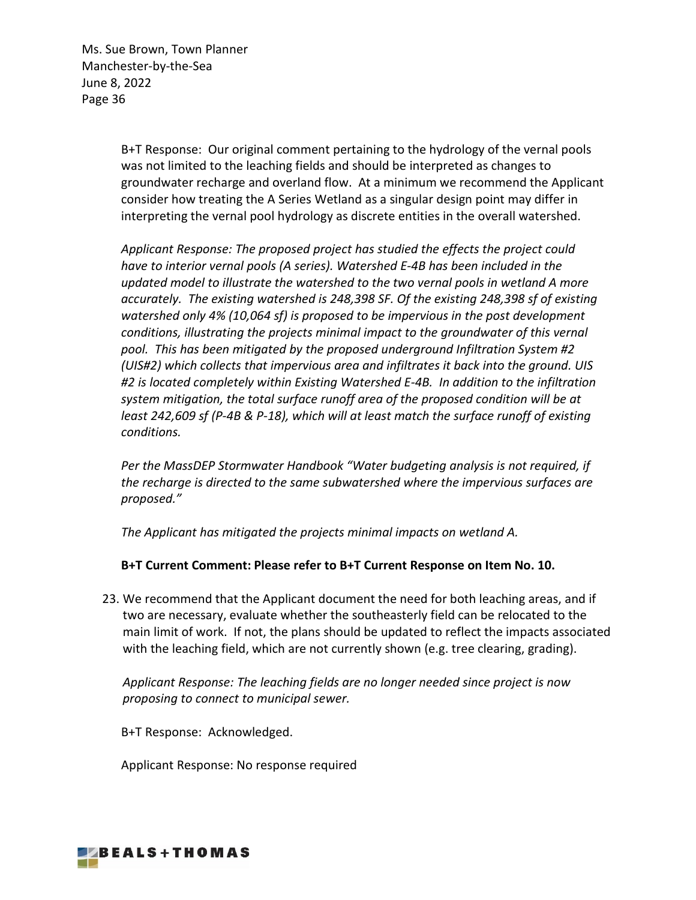> B+T Response: Our original comment pertaining to the hydrology of the vernal pools was not limited to the leaching fields and should be interpreted as changes to groundwater recharge and overland flow. At a minimum we recommend the Applicant consider how treating the A Series Wetland as a singular design point may differ in interpreting the vernal pool hydrology as discrete entities in the overall watershed.

*Applicant Response: The proposed project has studied the effects the project could have to interior vernal pools (A series). Watershed E-4B has been included in the updated model to illustrate the watershed to the two vernal pools in wetland A more accurately. The existing watershed is 248,398 SF. Of the existing 248,398 sf of existing watershed only 4% (10,064 sf) is proposed to be impervious in the post development conditions, illustrating the projects minimal impact to the groundwater of this vernal pool. This has been mitigated by the proposed underground Infiltration System #2 (UIS#2) which collects that impervious area and infiltrates it back into the ground. UIS #2 is located completely within Existing Watershed E-4B. In addition to the infiltration system mitigation, the total surface runoff area of the proposed condition will be at least 242,609 sf (P-4B & P-18), which will at least match the surface runoff of existing conditions.*

*Per the MassDEP Stormwater Handbook "Water budgeting analysis is not required, if the recharge is directed to the same subwatershed where the impervious surfaces are proposed."*

*The Applicant has mitigated the projects minimal impacts on wetland A.*

# **B+T Current Comment: Please refer to B+T Current Response on Item No. 10.**

23. We recommend that the Applicant document the need for both leaching areas, and if two are necessary, evaluate whether the southeasterly field can be relocated to the main limit of work. If not, the plans should be updated to reflect the impacts associated with the leaching field, which are not currently shown (e.g. tree clearing, grading).

*Applicant Response: The leaching fields are no longer needed since project is now proposing to connect to municipal sewer.*

B+T Response: Acknowledged.

Applicant Response: No response required

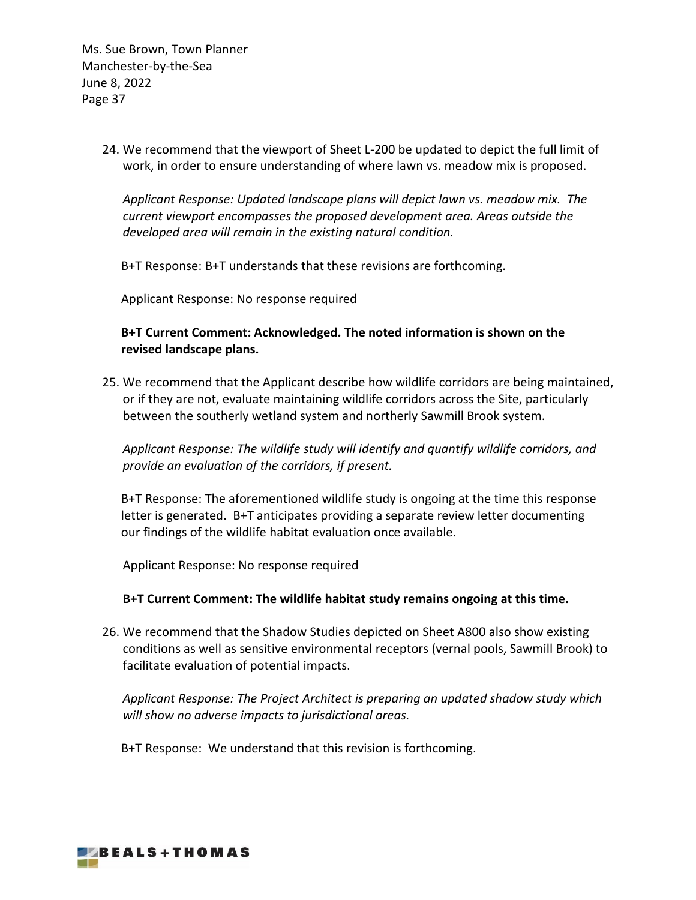> 24. We recommend that the viewport of Sheet L-200 be updated to depict the full limit of work, in order to ensure understanding of where lawn vs. meadow mix is proposed.

*Applicant Response: Updated landscape plans will depict lawn vs. meadow mix. The current viewport encompasses the proposed development area. Areas outside the developed area will remain in the existing natural condition.*

B+T Response: B+T understands that these revisions are forthcoming.

Applicant Response: No response required

# **B+T Current Comment: Acknowledged. The noted information is shown on the revised landscape plans.**

25. We recommend that the Applicant describe how wildlife corridors are being maintained, or if they are not, evaluate maintaining wildlife corridors across the Site, particularly between the southerly wetland system and northerly Sawmill Brook system.

# *Applicant Response: The wildlife study will identify and quantify wildlife corridors, and provide an evaluation of the corridors, if present.*

B+T Response: The aforementioned wildlife study is ongoing at the time this response letter is generated. B+T anticipates providing a separate review letter documenting our findings of the wildlife habitat evaluation once available.

Applicant Response: No response required

#### **B+T Current Comment: The wildlife habitat study remains ongoing at this time.**

26. We recommend that the Shadow Studies depicted on Sheet A800 also show existing conditions as well as sensitive environmental receptors (vernal pools, Sawmill Brook) to facilitate evaluation of potential impacts.

*Applicant Response: The Project Architect is preparing an updated shadow study which will show no adverse impacts to jurisdictional areas.*

B+T Response: We understand that this revision is forthcoming.

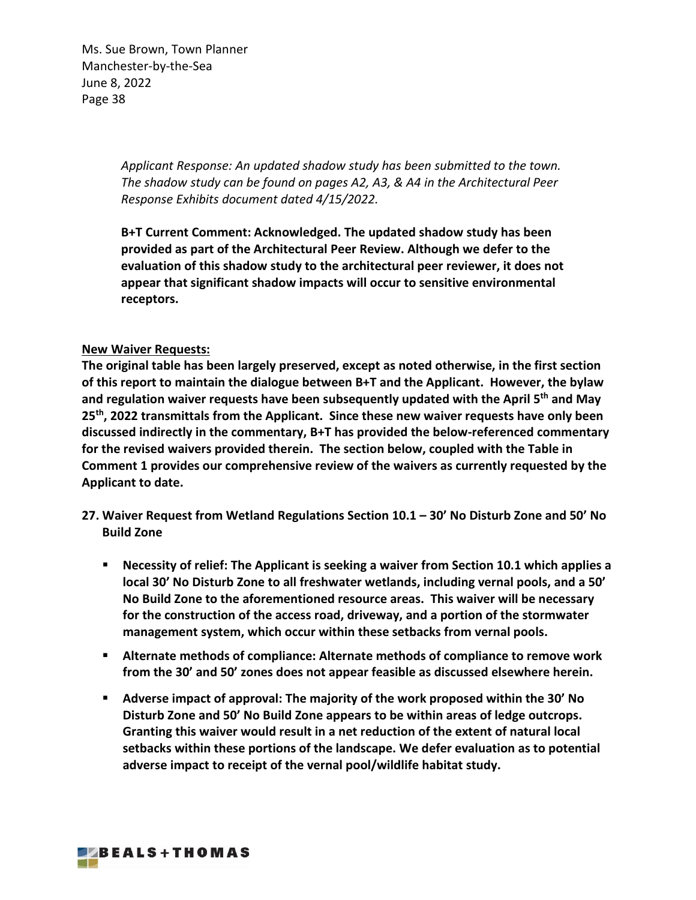> *Applicant Response: An updated shadow study has been submitted to the town. The shadow study can be found on pages A2, A3, & A4 in the Architectural Peer Response Exhibits document dated 4/15/2022.*

> **B+T Current Comment: Acknowledged. The updated shadow study has been provided as part of the Architectural Peer Review. Although we defer to the evaluation of this shadow study to the architectural peer reviewer, it does not appear that significant shadow impacts will occur to sensitive environmental receptors.**

## **New Waiver Requests:**

**The original table has been largely preserved, except as noted otherwise, in the first section of this report to maintain the dialogue between B+T and the Applicant. However, the bylaw and regulation waiver requests have been subsequently updated with the April 5th and May 25th, 2022 transmittals from the Applicant. Since these new waiver requests have only been discussed indirectly in the commentary, B+T has provided the below-referenced commentary for the revised waivers provided therein. The section below, coupled with the Table in Comment 1 provides our comprehensive review of the waivers as currently requested by the Applicant to date.** 

- **27. Waiver Request from Wetland Regulations Section 10.1 30' No Disturb Zone and 50' No Build Zone**
	- **Necessity of relief: The Applicant is seeking a waiver from Section 10.1 which applies a local 30' No Disturb Zone to all freshwater wetlands, including vernal pools, and a 50' No Build Zone to the aforementioned resource areas. This waiver will be necessary for the construction of the access road, driveway, and a portion of the stormwater management system, which occur within these setbacks from vernal pools.**
	- **Alternate methods of compliance: Alternate methods of compliance to remove work from the 30' and 50' zones does not appear feasible as discussed elsewhere herein.**
	- **Adverse impact of approval: The majority of the work proposed within the 30' No Disturb Zone and 50' No Build Zone appears to be within areas of ledge outcrops. Granting this waiver would result in a net reduction of the extent of natural local setbacks within these portions of the landscape. We defer evaluation as to potential adverse impact to receipt of the vernal pool/wildlife habitat study.**

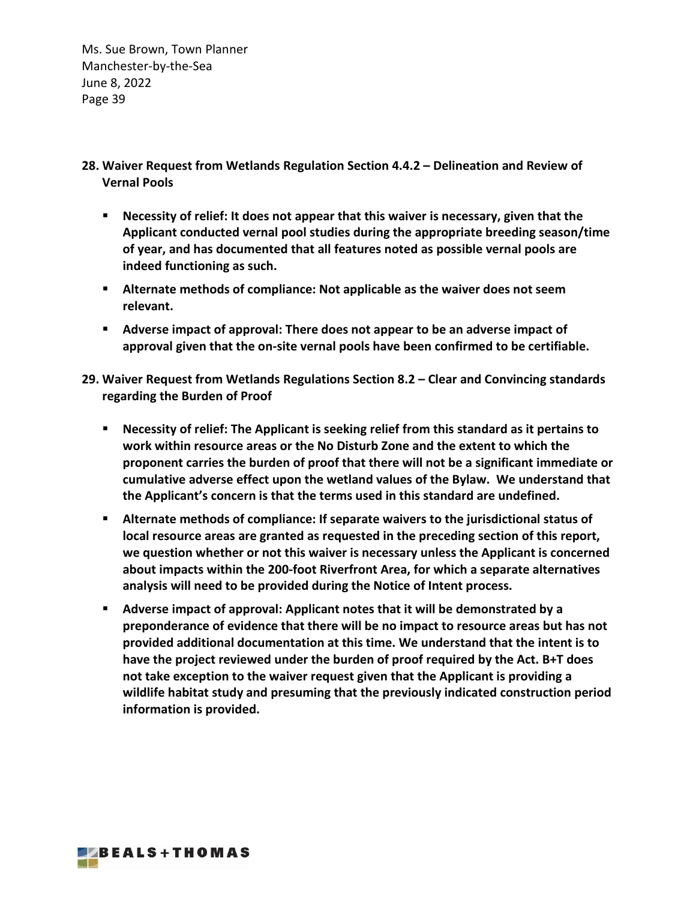- **28. Waiver Request from Wetlands Regulation Section 4.4.2 – Delineation and Review of Vernal Pools**
	- **Necessity of relief: It does not appear that this waiver is necessary, given that the Applicant conducted vernal pool studies during the appropriate breeding season/time of year, and has documented that all features noted as possible vernal pools are indeed functioning as such.**
	- **Alternate methods of compliance: Not applicable as the waiver does not seem relevant.**
	- **Adverse impact of approval: There does not appear to be an adverse impact of approval given that the on-site vernal pools have been confirmed to be certifiable.**
- **29. Waiver Request from Wetlands Regulations Section 8.2 – Clear and Convincing standards regarding the Burden of Proof**
	- **Necessity of relief: The Applicant is seeking relief from this standard as it pertains to work within resource areas or the No Disturb Zone and the extent to which the proponent carries the burden of proof that there will not be a significant immediate or cumulative adverse effect upon the wetland values of the Bylaw. We understand that the Applicant's concern is that the terms used in this standard are undefined.**
	- **Alternate methods of compliance: If separate waivers to the jurisdictional status of local resource areas are granted as requested in the preceding section of this report, we question whether or not this waiver is necessary unless the Applicant is concerned about impacts within the 200-foot Riverfront Area, for which a separate alternatives analysis will need to be provided during the Notice of Intent process.**
	- **Adverse impact of approval: Applicant notes that it will be demonstrated by a preponderance of evidence that there will be no impact to resource areas but has not provided additional documentation at this time. We understand that the intent is to have the project reviewed under the burden of proof required by the Act. B+T does not take exception to the waiver request given that the Applicant is providing a wildlife habitat study and presuming that the previously indicated construction period information is provided.**

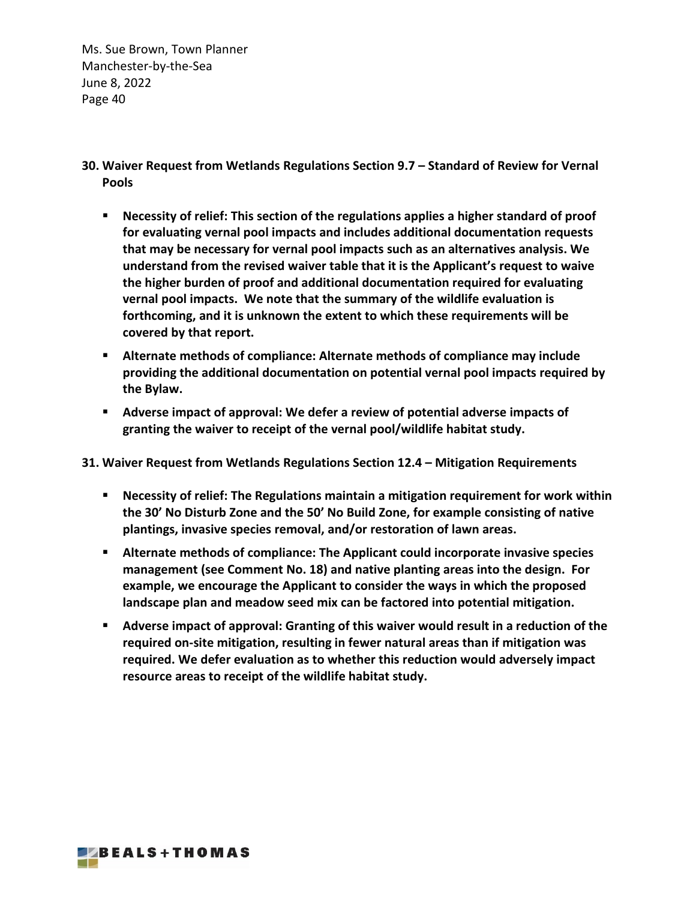- **30. Waiver Request from Wetlands Regulations Section 9.7 – Standard of Review for Vernal Pools**
	- **Necessity of relief: This section of the regulations applies a higher standard of proof for evaluating vernal pool impacts and includes additional documentation requests that may be necessary for vernal pool impacts such as an alternatives analysis. We understand from the revised waiver table that it is the Applicant's request to waive the higher burden of proof and additional documentation required for evaluating vernal pool impacts. We note that the summary of the wildlife evaluation is forthcoming, and it is unknown the extent to which these requirements will be covered by that report.**
	- **Alternate methods of compliance: Alternate methods of compliance may include providing the additional documentation on potential vernal pool impacts required by the Bylaw.**
	- **Adverse impact of approval: We defer a review of potential adverse impacts of granting the waiver to receipt of the vernal pool/wildlife habitat study.**
- **31. Waiver Request from Wetlands Regulations Section 12.4 – Mitigation Requirements**
	- **Necessity of relief: The Regulations maintain a mitigation requirement for work within the 30' No Disturb Zone and the 50' No Build Zone, for example consisting of native plantings, invasive species removal, and/or restoration of lawn areas.**
	- **Alternate methods of compliance: The Applicant could incorporate invasive species management (see Comment No. 18) and native planting areas into the design. For example, we encourage the Applicant to consider the ways in which the proposed landscape plan and meadow seed mix can be factored into potential mitigation.**
	- **Adverse impact of approval: Granting of this waiver would result in a reduction of the required on-site mitigation, resulting in fewer natural areas than if mitigation was required. We defer evaluation as to whether this reduction would adversely impact resource areas to receipt of the wildlife habitat study.**

**EZBEALS+THOMAS**